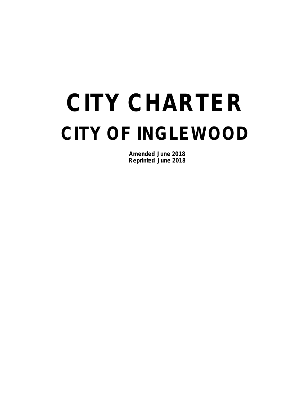# **CITY CHARTER CITY OF INGLEWOOD**

**Amended June 2018 Reprinted June 2018**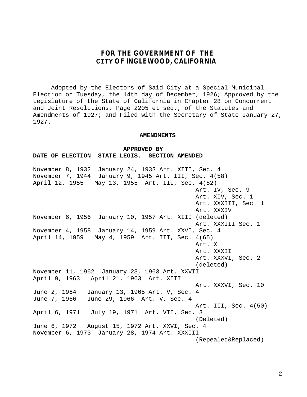# **FOR THE GOVERNMENT OF THE CITY OF INGLEWOOD, CALIFORNIA**

Adopted by the Electors of Said City at a Special Municipal Election on Tuesday, the 14th day of December, 1926; Approved by the Legislature of the State of California in Chapter 28 on Concurrent and Joint Resolutions, Page 2205 et seq., of the Statutes and Amendments of 1927; and Filed with the Secretary of State January 27, 1927.

### **AMENDMENTS**

**APPROVED BY DATE OF ELECTION STATE LEGIS. SECTION AMENDED**

November 8, 1932January 24, 1933 Art. XIII, Sec. 4 November 7, 1944 January 9, 1945 Art. III, Sec. 4(58) April 12, 1955 May 13, 1955 Art. III, Sec. 4(82) Art. IV, Sec. 9 Art. XIV, Sec. 1 Art. XXXIII, Sec. 1 Art. XXXIV November 6, 1956 January 10, 1957 Art. XIII (deleted) Art. XXXIII Sec. 1 November 4, 1958 January 14, 1959 Art. XXVI, Sec. 4 April 14, 1959 May 4, 1959 Art. III, Sec. 4(65) Art. X Art. XXXII Art. XXXVI, Sec. 2 (deleted) November 11, 1962 January 23, 1963 Art. XXVII April 9, 1963 April 21, 1963 Art. XIII Art. XXXVI, Sec. 10 June 2, 1964 January 13, 1965 Art. V, Sec. 4 June 7, 1966 June 29, 1966 Art. V, Sec. 4 Art. III, Sec. 4(50) April 6, 1971 July 19, 1971 Art. VII, Sec. 3 (Deleted) June 6, 1972 August 15, 1972 Art. XXVI, Sec. 4 November 6, 1973 January 28, 1974 Art. XXXIII (Repealed&Replaced)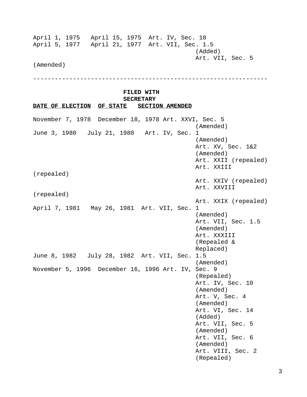April 1, 1975 April 15, 1975 Art. IV, Sec. 10 April 5, 1977 April 21, 1977 Art. VII, Sec. 1.5 (Added) Art. VII, Sec. 5

(Amended)

-----------------------------------------------------------------

### **FILED WITH SECRETARY**

**DATE OF ELECTION OF STATE SECTION AMENDED** November 7, 1978December 18, 1978 Art. XXVI, Sec. 5 (Amended) June 3, 1980 July 21, 1980 Art. IV, Sec. 1 (Amended) Art. XV, Sec. 1&2 (Amended) Art. XXII (repealed) Art. XXIII (repealed) Art. XXIV (repealed) Art. XXVIII (repealed) Art. XXIX (repealed) April 7, 1981 May 26, 1981 Art. VII, Sec. 1 (Amended) Art. VII, Sec. 1.5 (Amended) Art. XXXIII (Repealed & Replaced) June 8, 1982 July 28, 1982 Art. VII, Sec. 1.5 (Amended) November 5, 1996 December 16, 1996 Art. IV, Sec. 9 (Repealed) Art. IV, Sec. 10 (Amended) Art. V, Sec. 4 (Amended) Art. VI, Sec. 14 (Added) Art. VII, Sec. 5 (Amended) Art. VII, Sec. 6 (Amended) Art. VIII, Sec. 2 (Repealed)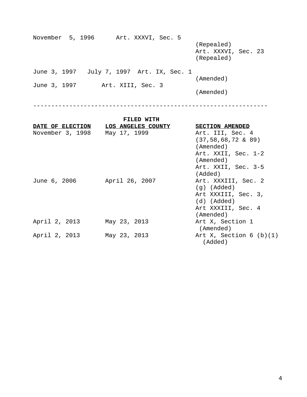| November 5, 1996 |                                           | Art. XXXVI, Sec. 5 |  |  |                                                 |  |
|------------------|-------------------------------------------|--------------------|--|--|-------------------------------------------------|--|
|                  |                                           |                    |  |  | (Repealed)<br>Art. XXXVI, Sec. 23<br>(Repealed) |  |
|                  | June 3, 1997 July 7, 1997 Art. IX, Sec. 1 |                    |  |  |                                                 |  |
|                  |                                           |                    |  |  | (Amended)                                       |  |
| June 3, 1997     |                                           | Art. XIII, Sec. 3  |  |  |                                                 |  |
|                  |                                           |                    |  |  | (Amended)                                       |  |

-----------------------------------------------------------------

|                  | FILED WITH         |                           |
|------------------|--------------------|---------------------------|
| DATE OF ELECTION | LOS ANGELES COUNTY | <b>SECTION AMENDED</b>    |
| November 3, 1998 | May 17, 1999       | Art. III, Sec. 4          |
|                  |                    | $(37, 58, 68, 72 \& 89)$  |
|                  |                    | (Amended)                 |
|                  |                    | Art. XXII, Sec. 1-2       |
|                  |                    | (Amended)                 |
|                  |                    | Art. XXII, Sec. 3-5       |
|                  |                    | (Added)                   |
| June 6, 2006     | April 26, 2007     | Art. XXXIII, Sec. 2       |
|                  |                    | $(g)$ (Added)             |
|                  |                    | Art XXXIII, Sec. 3,       |
|                  |                    | (d) (Added)               |
|                  |                    | Art XXXIII, Sec. 4        |
|                  |                    | (Amended)                 |
| April 2, 2013    | May 23, 2013       | Art X, Section 1          |
|                  |                    | (Amended)                 |
| April 2, 2013    | May 23, 2013       | Art X, Section $6$ (b)(1) |
|                  |                    | (Added)                   |
|                  |                    |                           |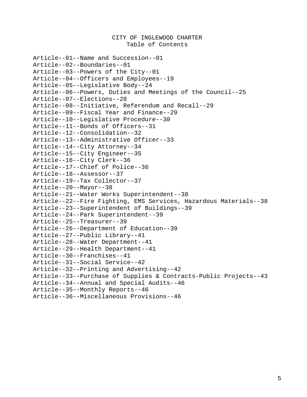CITY OF INGLEWOOD CHARTER Table of Contents Article--01--Name and Succession--01 Article--02--Boundaries--01 Article--03--Powers of the City--01 Article--04--Officers and Employees--19 Article--05--Legislative Body--24 Article--06--Powers, Duties and Meetings of the Council--25 Article--07--Elections--28 Article--08--Initiative, Referendum and Recall--29 Article--09--Fiscal Year and Finance--29 Article--10--Legislative Procedure--30 Article--11--Bonds of Officers--31 Article--12--Consolidation--32 Article--13--Administrative Officer--33 Article--14--City Attorney--34 Article--15--City Engineer--35 Article--16--City Clerk--36 Article--17--Chief of Police--36 Article--18--Assessor--37 Article--19--Tax Collector--37 Article--20--Mayor--38 Article--21--Water Works Superintendent--38 Article--22--Fire Fighting, EMS Services, Hazardous Materials--38 Article--23--Superintendent of Buildings--39 Article--24--Park Superintendent--39 Article--25--Treasurer--39 Article--26--Department of Education--39 Article--27--Public Library--41 Article--28--Water Department--41 Article--29--Health Department--41 Article--30--Franchises--41 Article--31--Social Service--42 Article--32--Printing and Advertising--42 Article--33--Purchase of Supplies & Contracts-Public Projects--43 Article--34--Annual and Special Audits--46 Article--35--Monthly Reports--46 Article--36--Miscellaneous Provisions--46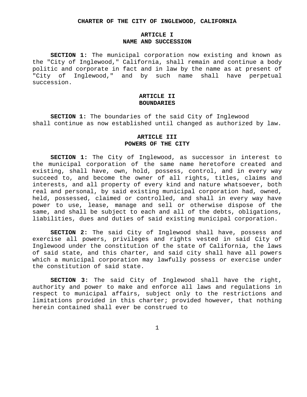#### **CHARTER OF THE CITY OF INGLEWOOD, CALIFORNIA**

### **ARTICLE I NAME AND SUCCESSION**

**SECTION 1:** The municipal corporation now existing and known as the "City of Inglewood," California, shall remain and continue a body politic and corporate in fact and in law by the name as at present of "City of Inglewood," and by such name shall have perpetual succession.

## **ARTICLE II BOUNDARIES**

**SECTION 1:** The boundaries of the said City of Inglewood shall continue as now established until changed as authorized by law.

## **ARTICLE III POWERS OF THE CITY**

**SECTION 1:** The City of Inglewood, as successor in interest to the municipal corporation of the same name heretofore created and existing, shall have, own, hold, possess, control, and in every way succeed to, and become the owner of all rights, titles, claims and interests, and all property of every kind and nature whatsoever, both real and personal, by said existing municipal corporation had, owned, held, possessed, claimed or controlled, and shall in every way have power to use, lease, manage and sell or otherwise dispose of the same, and shall be subject to each and all of the debts, obligations, liabilities, dues and duties of said existing municipal corporation.

**SECTION 2:** The said City of Inglewood shall have, possess and exercise all powers, privileges and rights vested in said City of Inglewood under the constitution of the state of California, the laws of said state, and this charter, and said city shall have all powers which a municipal corporation may lawfully possess or exercise under the constitution of said state.

**SECTION 3:** The said City of Inglewood shall have the right, authority and power to make and enforce all laws and regulations in respect to municipal affairs, subject only to the restrictions and limitations provided in this charter; provided however, that nothing herein contained shall ever be construed to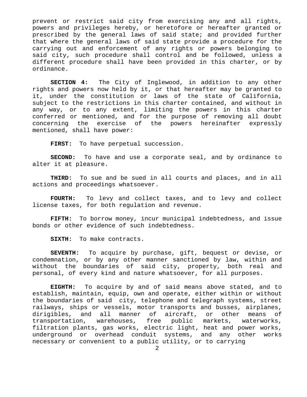prevent or restrict said city from exercising any and all rights, powers and privileges hereby, or heretofore or hereafter granted or prescribed by the general laws of said state; and provided further that where the general laws of said state provide a procedure for the carrying out and enforcement of any rights or powers belonging to said city, such procedure shall control and be followed, unless a different procedure shall have been provided in this charter, or by ordinance.

**SECTION 4:** The City of Inglewood, in addition to any other rights and powers now held by it, or that hereafter may be granted to it, under the constitution or laws of the state of California, subject to the restrictions in this charter contained, and without in any way, or to any extent, limiting the powers in this charter conferred or mentioned, and for the purpose of removing all doubt concerning the exercise of the powers hereinafter expressly mentioned, shall have power:

**FIRST:** To have perpetual succession.

**SECOND:** To have and use a corporate seal, and by ordinance to alter it at pleasure.

**THIRD:** To sue and be sued in all courts and places, and in all actions and proceedings whatsoever.

**FOURTH:** To levy and collect taxes, and to levy and collect license taxes, for both regulation and revenue.

**FIFTH:** To borrow money, incur municipal indebtedness, and issue bonds or other evidence of such indebtedness.

**SIXTH:** To make contracts.

**SEVENTH:** To acquire by purchase, gift, bequest or devise, or condemnation, or by any other manner sanctioned by law, within and without the boundaries of said city, property, both real and personal, of every kind and nature whatsoever, for all purposes.

**EIGHTH:** To acquire by and of said means above stated, and to establish, maintain, equip, own and operate, either within or without the boundaries of said city, telephone and telegraph systems, street railways, ships or vessels, motor transports and busses, airplanes, dirigibles, and all manner of aircraft, or other means of transportation, warehouses, free public markets, waterworks, filtration plants, gas works, electric light, heat and power works, underground or overhead conduit systems, and any other works necessary or convenient to a public utility, or to carrying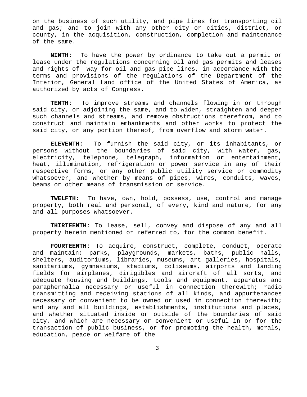on the business of such utility, and pipe lines for transporting oil and gas; and to join with any other city or cities, district, or county, in the acquisition, construction, completion and maintenance of the same.

**NINTH:** To have the power by ordinance to take out a permit or lease under the regulations concerning oil and gas permits and leases and rights-of -way for oil and gas pipe lines, in accordance with the terms and provisions of the regulations of the Department of the Interior, General Land office of the United States of America, as authorized by acts of Congress.

**TENTH:** To improve streams and channels flowing in or through said city, or adjoining the same, and to widen, straighten and deepen such channels and streams, and remove obstructions therefrom, and to construct and maintain embankments and other works to protect the said city, or any portion thereof, from overflow and storm water.

**ELEVENTH:** To furnish the said city, or its inhabitants, or persons without the boundaries of said city, with water, gas, electricity, telephone, telegraph, information or entertainment, heat, illumination, refrigeration or power service in any of their respective forms, or any other public utility service or commodity whatsoever, and whether by means of pipes, wires, conduits, waves, beams or other means of transmission or service.

**TWELFTH:** To have, own, hold, possess, use, control and manage property, both real and personal, of every, kind and nature, for any and all purposes whatsoever.

**THIRTEENTH:** To lease, sell, convey and dispose of any and all property herein mentioned or referred to, for the common benefit.

**FOURTEENTH:** To acquire, construct, complete, conduct, operate and maintain: parks, playgrounds, markets, baths, public halls, shelters, auditoriums, libraries, museums, art galleries, hospitals, sanitariums, gymnasiums, stadiums, coliseums, airports and landing fields for airplanes, dirigibles and aircraft of all sorts, and adequate housing and buildings, tools and equipment, apparatus and paraphernalia necessary or useful in connection therewith; radio transmitting and receiving stations of all kinds, and appurtenances necessary or convenient to be owned or used in connection therewith; and any and all buildings, establishments, institutions and places, and whether situated inside or outside of the boundaries of said city, and which are necessary or convenient or useful in or for the transaction of public business, or for promoting the health, morals, education, peace or welfare of the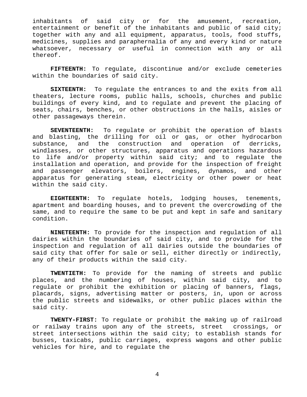inhabitants of said city or for the amusement, recreation, entertainment or benefit of the inhabitants and public of said city; together with any and all equipment, apparatus, tools, food stuffs, medicines, supplies and paraphernalia of any and every kind or nature whatsoever, necessary or useful in connection with any or all thereof.

**FIFTEENTH:** To regulate, discontinue and/or exclude cemeteries within the boundaries of said city.

**SIXTEENTH:** To regulate the entrances to and the exits from all theaters, lecture rooms, public halls, schools, churches and public buildings of every kind, and to regulate and prevent the placing of seats, chairs, benches, or other obstructions in the halls, aisles or other passageways therein.

**SEVENTEENTH:** To regulate or prohibit the operation of blasts and blasting, the drilling for oil or gas, or other hydrocarbon substance, and the construction and operation of derricks, windlasses, or other structures, apparatus and operations hazardous to life and/or property within said city; and to regulate the installation and operation, and provide for the inspection of freight and passenger elevators, boilers, engines, dynamos, and other apparatus for generating steam, electricity or other power or heat within the said city.

**EIGHTEENTH:** To regulate hotels, lodging houses, tenements, apartment and boarding houses, and to prevent the overcrowding of the same, and to require the same to be put and kept in safe and sanitary condition.

**NINETEENTH:** To provide for the inspection and regulation of all dairies within the boundaries of said city, and to provide for the inspection and regulation of all dairies outside the boundaries of said city that offer for sale or sell, either directly or indirectly, any of their products within the said city.

**TWENTIETH:** To provide for the naming of streets and public places, and the numbering of houses, within said city, and to regulate or prohibit the exhibition or placing of banners, flags, placards, signs, advertising matter or posters, in, upon or across the public streets and sidewalks, or other public places within the said city.

**TWENTY-FIRST:** To regulate or prohibit the making up of railroad or railway trains upon any of the streets, street crossings, or street intersections within the said city; to establish stands for busses, taxicabs, public carriages, express wagons and other public vehicles for hire, and to regulate the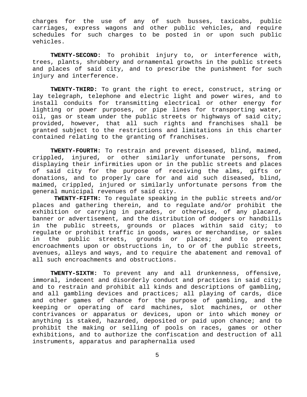charges for the use of any of such busses, taxicabs, public carriages, express wagons and other public vehicles, and require schedules for such charges to be posted in or upon such public vehicles.

**TWENTY-SECOND:** To prohibit injury to, or interference with, trees, plants, shrubbery and ornamental growths in the public streets and places of said city, and to prescribe the punishment for such injury and interference.

**TWENTY-THIRD:** To grant the right to erect, construct, string or lay telegraph, telephone and electric light and power wires, and to install conduits for transmitting electrical or other energy for lighting or power purposes, or pipe lines for transporting water, oil, gas or steam under the public streets or highways of said city; provided, however, that all such rights and franchises shall be granted subject to the restrictions and limitations in this charter contained relating to the granting of franchises.

**TWENTY-FOURTH:** To restrain and prevent diseased, blind, maimed, crippled, injured, or other similarly unfortunate persons, from displaying their infirmities upon or in the public streets and places of said city for the purpose of receiving the alms, gifts or donations, and to properly care for and aid such diseased, blind, maimed, crippled, injured or similarly unfortunate persons from the general municipal revenues of said city.

**TWENTY-FIFTH:** To regulate speaking in the public streets and/or places and gathering therein, and to regulate and/or prohibit the exhibition or carrying in parades, or otherwise, of any placard, banner or advertisement, and the distribution of dodgers or handbills in the public streets, grounds or places within said city; to regulate or prohibit traffic in goods, wares or merchandise, or sales in the public streets, grounds or places; and to prevent encroachments upon or obstructions in, to or of the public streets, avenues, alleys and ways, and to require the abatement and removal of all such encroachments and obstructions.

**TWENTY-SIXTH:** To prevent any and all drunkenness, offensive, immoral, indecent and disorderly conduct and practices in said city; and to restrain and prohibit all kinds and descriptions of gambling, and all gambling devices and practices; all playing of cards, dice and other games of chance for the purpose of gambling, and the keeping or operating of card machines, slot machines, or other contrivances or apparatus or devices, upon or into which money or anything is staked, hazarded, deposited or paid upon chance; and to prohibit the making or selling of pools on races, games or other exhibitions, and to authorize the confiscation and destruction of all instruments, apparatus and paraphernalia used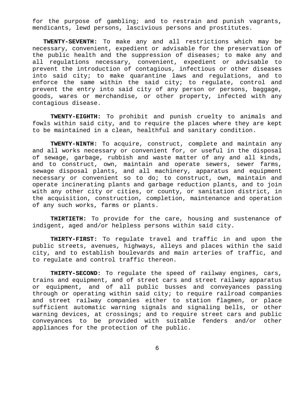for the purpose of gambling; and to restrain and punish vagrants, mendicants, lewd persons, lascivious persons and prostitutes.

**TWENTY-SEVENTH:** To make any and all restrictions which may be necessary, convenient, expedient or advisable for the preservation of the public health and the suppression of diseases; to make any and all regulations necessary, convenient, expedient or advisable to prevent the introduction of contagious, infectious or other diseases into said city; to make quarantine laws and regulations, and to enforce the same within the said city; to regulate, control and prevent the entry into said city of any person or persons, baggage, goods, wares or merchandise, or other property, infected with any contagious disease.

**TWENTY-EIGHTH:** To prohibit and punish cruelty to animals and fowls within said city, and to require the places where they are kept to be maintained in a clean, healthful and sanitary condition.

**TWENTY-NINTH:** To acquire, construct, complete and maintain any and all works necessary or convenient for, or useful in the disposal of sewage, garbage, rubbish and waste matter of any and all kinds, and to construct, own, maintain and operate sewers, sewer farms, sewage disposal plants, and all machinery, apparatus and equipment necessary or convenient so to do; to construct, own, maintain and operate incinerating plants and garbage reduction plants, and to join with any other city or cities, or county, or sanitation district, in the acquisition, construction, completion, maintenance and operation of any such works, farms or plants.

**THIRTIETH:** To provide for the care, housing and sustenance of indigent, aged and/or helpless persons within said city.

**THIRTY-FIRST:** To regulate travel and traffic in and upon the public streets, avenues, highways, alleys and places within the said city, and to establish boulevards and main arteries of traffic, and to regulate and control traffic thereon.

**THIRTY-SECOND:** To regulate the speed of railway engines, cars, trains and equipment, and of street cars and street railway apparatus or equipment, and of all public busses and conveyances passing through or operating within said city; to require railroad companies and street railway companies either to station flagmen, or place sufficient automatic warning signals and signaling bells, or other warning devices, at crossings; and to require street cars and public conveyances to be provided with suitable fenders and/or other appliances for the protection of the public.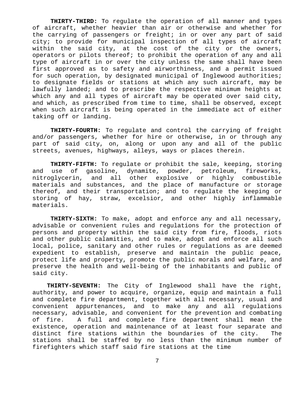**THIRTY-THIRD:** To regulate the operation of all manner and types of aircraft, whether heavier than air or otherwise and whether for the carrying of passengers or freight; in or over any part of said city; to provide for municipal inspection of all types of aircraft within the said city, at the cost of the city or the owners, operators or pilots thereof; to prohibit the operation of any and all type of aircraft in or over the city unless the same shall have been first approved as to safety and airworthiness, and a permit issued for such operation, by designated municipal of Inglewood authorities; to designate fields or stations at which any such aircraft, may be lawfully landed; and to prescribe the respective minimum heights at which any and all types of aircraft may be operated over said city, and which, as prescribed from time to time, shall be observed, except when such aircraft is being operated in the immediate act of either taking off or landing.

**THIRTY-FOURTH:** To regulate and control the carrying of freight and/or passengers, whether for hire or otherwise, in or through any part of said city, on, along or upon any and all of the public streets, avenues, highways, alleys, ways or places therein.

**THIRTY-FIFTH:** To regulate or prohibit the sale, keeping, storing and use of gasoline, dynamite, powder, petroleum, fireworks, nitroglycerin, and all other explosive or highly combustible materials and substances, and the place of manufacture or storage thereof, and their transportation; and to regulate the keeping or storing of hay, straw, excelsior, and other highly inflammable materials.

**THIRTY-SIXTH:** To make, adopt and enforce any and all necessary, advisable or convenient rules and regulations for the protection of persons and property within the said city from fire, floods, riots and other public calamities, and to make, adopt and enforce all such local, police, sanitary and other rules or regulations as are deemed expedient to establish, preserve and maintain the public peace, protect life and property, promote the public morals and welfare, and preserve the health and well-being of the inhabitants and public of said city.

**THIRTY-SEVENTH:** The City of Inglewood shall have the right, authority, and power to acquire, organize, equip and maintain a full and complete fire department, together with all necessary, usual and convenient appurtenances, and to make any and all regulations necessary, advisable, and convenient for the prevention and combating of fire. A full and complete fire department shall mean the existence, operation and maintenance of at least four separate and distinct fire stations within the boundaries of the city. The stations shall be staffed by no less than the minimum number of firefighters which staff said fire stations at the time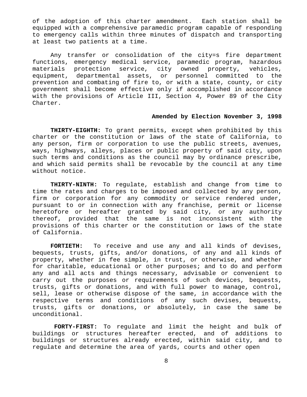of the adoption of this charter amendment. Each station shall be equipped with a comprehensive paramedic program capable of responding to emergency calls within three minutes of dispatch and transporting at least two patients at a time.

Any transfer or consolidation of the city=s fire department functions, emergency medical service, paramedic program, hazardous materials protection service, city owned property, vehicles, equipment, departmental assets, or personnel committed to the prevention and combating of fire to, or with a state, county, or city government shall become effective only if accomplished in accordance with the provisions of Article III, Section 4, Power 89 of the City Charter.

### **Amended by Election November 3, 1998**

**THIRTY-EIGHTH:** To grant permits, except when prohibited by this charter or the constitution or laws of the state of California, to any person, firm or corporation to use the public streets, avenues, ways, highways, alleys, places or public property of said city, upon such terms and conditions as the council may by ordinance prescribe, and which said permits shall be revocable by the council at any time without notice.

**THIRTY-NINTH:** To regulate, establish and change from time to time the rates and charges to be imposed and collected by any person, firm or corporation for any commodity or service rendered under, pursuant to or in connection with any franchise, permit or license heretofore or hereafter granted by said city, or any authority thereof, provided that the same is not inconsistent with the provisions of this charter or the constitution or laws of the state of California.

**FORTIETH:** To receive and use any and all kinds of devises, bequests, trusts, gifts, and/or donations, of any and all kinds of property, whether in fee simple, in trust, or otherwise, and whether for charitable, educational or other purposes; and to do and perform any and all acts and things necessary, advisable or convenient to carry out the purposes or requirements of such devices, bequests, trusts, gifts or donations, and with full power to manage, control, sell, lease or otherwise dispose of the same, in accordance with the respective terms and conditions of any such devises, bequests, trusts, gifts or donations, or absolutely, in case the same be unconditional.

**FORTY-FIRST:** To regulate and limit the height and bulk of buildings or structures hereafter erected, and of additions to buildings or structures already erected, within said city, and to regulate and determine the area of yards, courts and other open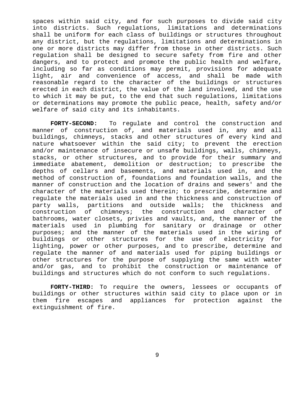spaces within said city, and for such purposes to divide said city into districts. Such regulations, limitations and determinations shall be uniform for each class of buildings or structures throughout any district, but the regulations, limitations and determinations in one or more districts may differ from those in other districts. Such regulation shall be designed to secure safety from fire and other dangers, and to protect and promote the public health and welfare, including so far as conditions may permit, provisions for adequate light, air and convenience of access, and shall be made with reasonable regard to the character of the buildings or structures erected in each district, the value of the land involved, and the use to which it may be put, to the end that such regulations, limitations or determinations may promote the public peace, health, safety and/or welfare of said city and its inhabitants.

**FORTY-SECOND:** To regulate and control the construction and manner of construction of, and materials used in, any and all buildings, chimneys, stacks and other structures of every kind and nature whatsoever within the said city; to prevent the erection and/or maintenance of insecure or unsafe buildings, walls, chimneys, stacks, or other structures, and to provide for their summary and immediate abatement, demolition or destruction; to prescribe the depths of cellars and basements, and materials used in, and the method of construction of, foundations and foundation walls, and the manner of construction and the location of drains and sewers' and the character of the materials used therein; to prescribe, determine and regulate the materials used in and the thickness and construction of party walls, partitions and outside walls; the thickness and construction of chimneys; the construction and character of bathrooms, water closets, privies and vaults, and, the manner of the materials used in plumbing for sanitary or drainage or other purposes; and the manner of the materials used in the wiring of buildings or other structures for the use of electricity for lighting, power or other purposes, and to prescribe, determine and regulate the manner of and materials used for piping buildings or other structures for the purpose of supplying the same with water and/or gas, and to prohibit the construction or maintenance of buildings and structures which do not conform to such regulations.

**FORTY-THIRD:** To require the owners, lessees or occupants of buildings or other structures within said city to place upon or in them fire escapes and appliances for protection against the extinguishment of fire.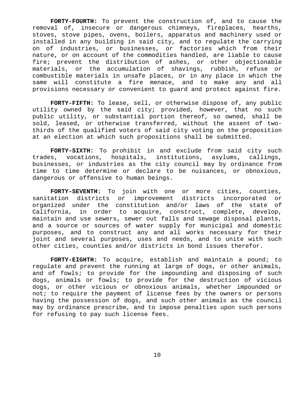**FORTY-FOURTH:** To prevent the construction of, and to cause the removal of, insecure or dangerous chimneys, fireplaces, hearths, stoves, stove pipes, ovens, boilers, apparatus and machinery used or installed in any building in said city, and to regulate the carrying on of industries, or businesses, or factories which from their nature, or on account of the commodities handled, are liable to cause fire; prevent the distribution of ashes, or other objectionable materials, or the accumulation of shavings, rubbish, refuse or combustible materials in unsafe places, or in any place in which the same will constitute a fire menace, and to make any and all provisions necessary or convenient to guard and protect against fire.

**FORTY-FIFTH:** To lease, sell, or otherwise dispose of, any public utility owned by the said city; provided, however, that no such public utility, or substantial portion thereof, so owned, shall be sold, leased, or otherwise transferred, without the assent of twothirds of the qualified voters of said city voting on the proposition at an election at which such propositions shall be submitted.

**FORTY-SIXTH:** To prohibit in and exclude from said city such trades, vocations, hospitals, institutions, asylums, callings, businesses, or industries as the city council may by ordinance from time to time determine or declare to be nuisances, or obnoxious, dangerous or offensive to human beings.

**FORTY-SEVENTH:** To join with one or more cities, counties, sanitation districts or improvement districts incorporated or organized under the constitution and/or laws of the state of California, in order to acquire, construct, complete, develop, maintain and use sewers, sewer out falls and sewage disposal plants, and a source or sources of water supply for municipal and domestic purposes, and to construct any and all works necessary for their joint and several purposes, uses and needs, and to unite with such other cities, counties and/or districts in bond issues therefor.

**FORTY-EIGHTH:** To acquire, establish and maintain a pound; to regulate and prevent the running at large of dogs, or other animals, and of fowls; to provide for the impounding and disposing of such dogs, animals or fowls; to provide for the destruction of vicious dogs, or other vicious or obnoxious animals, whether impounded or not; to require the payment of license fees by the owners or persons having the possession of dogs, and such other animals as the council may by ordinance prescribe, and to impose penalties upon such persons for refusing to pay such license fees.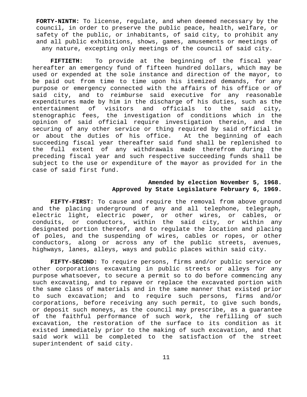**FORTY-NINTH:** To license, regulate, and when deemed necessary by the council, in order to preserve the public peace, health, welfare, or safety of the public, or inhabitants, of said city, to prohibit any and all public exhibitions, shows, games, amusements or meetings of any nature, excepting only meetings of the council of said city.

**FIFTIETH:** To provide at the beginning of the fiscal year hereafter an emergency fund of fifteen hundred dollars, which may be used or expended at the sole instance and direction of the mayor, to be paid out from time to time upon his itemized demands, for any purpose or emergency connected with the affairs of his office or of said city, and to reimburse said executive for any reasonable expenditures made by him in the discharge of his duties, such as the entertainment of visitors and officials to the said city, stenographic fees, the investigation of conditions which in the opinion of said official require investigation therein, and the securing of any other service or thing required by said official in or about the duties of his office. At the beginning of each succeeding fiscal year thereafter said fund shall be replenished to the full extent of any withdrawals made therefrom during the preceding fiscal year and such respective succeeding funds shall be subject to the use or expenditure of the mayor as provided for in the case of said first fund.

# **Amended by election November 5, 1968. Approved by State Legislature February 6, 1969.**

**FIFTY-FIRST:** To cause and require the removal from above ground and the placing underground of any and all telephone, telegraph, electric light, electric power, or other wires, or cables, or conduits, or conductors, within the said city, or within any designated portion thereof, and to regulate the location and placing of poles, and the suspending of wires, cables or ropes, or other conductors, along or across any of the public streets, avenues, highways, lanes, alleys, ways and public places within said city.

**FIFTY-SECOND:** To require persons, firms and/or public service or other corporations excavating in public streets or alleys for any purpose whatsoever, to secure a permit so to do before commencing any such excavating, and to repave or replace the excavated portion with the same class of materials and in the same manner that existed prior to such excavation; and to require such persons, firms and/or corporations, before receiving any such permit, to give such bonds, or deposit such moneys, as the council may prescribe, as a guarantee of the faithful performance of such work, the refilling of such excavation, the restoration of the surface to its condition as it existed immediately prior to the making of such excavation, and that said work will be completed to the satisfaction of the street superintendent of said city.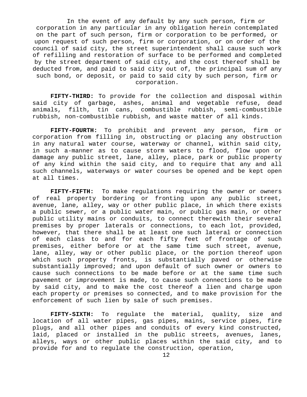In the event of any default by any such person, firm or corporation in any particular in any obligation herein contemplated on the part of such person, firm or corporation to be performed, or upon request of such person, firm or corporation, or on order of the council of said city, the street superintendent shall cause such work of refilling and restoration of surface to be performed and completed by the street department of said city, and the cost thereof shall be deducted from, and paid to said city out of, the principal sum of any such bond, or deposit, or paid to said city by such person, firm or corporation.

**FIFTY-THIRD:** To provide for the collection and disposal within said city of garbage, ashes, animal and vegetable refuse, dead animals, filth, tin cans, combustible rubbish, semi-combustible rubbish, non-combustible rubbish, and waste matter of all kinds.

**FIFTY-FOURTH:** To prohibit and prevent any person, firm or corporation from filling in, obstructing or placing any obstruction in any natural water course, waterway or channel, within said city, in such a-manner as to cause storm waters to flood, flow upon or damage any public street, lane, alley, place, park or public property of any kind within the said city, and to require that any and all such channels, waterways or water courses be opened and be kept open at all times.

**FIFTY-FIFTH:** To make regulations requiring the owner or owners of real property bordering or fronting upon any public street, avenue, lane, alley, way or other public place, in which there exists a public sewer, or a public water main, or public gas main, or other public utility mains or conduits, to connect therewith their several premises by proper laterals or connections, to each lot, provided, however, that there shall be at least one such lateral or connection of each class to and for each fifty feet of frontage of such premises, either before or at the same time such street, avenue, lane, alley, way or other public place, or the portion thereof upon which such property fronts, is substantially paved or otherwise substantially improved; and upon default of such owner or owners to cause such connections to be made before or at the same time such pavement or improvement is made, to cause such connections to be made by said city, and to make the cost thereof a lien and charge upon each property or premises so connected, and to make provision for the enforcement of such lien by sale of such premises.

**FIFTY-SIXTH:** To regulate the material, quality, size and location of all water pipes, gas pipes, mains, service pipes, fire plugs, and all other pipes and conduits of every kind constructed, laid, placed or installed in the public streets, avenues, lanes, alleys, ways or other public places within the said city, and to provide for and to regulate the construction, operation,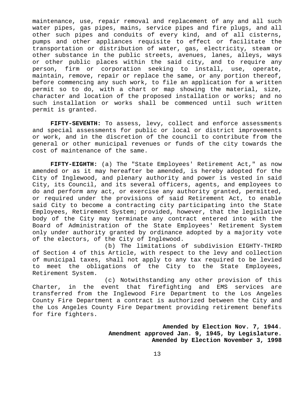maintenance, use, repair removal and replacement of any and all such water pipes, gas pipes, mains, service pipes and fire plugs, and all other such pipes and conduits of every kind, and of all cisterns, pumps and other appliances requisite to effect or facilitate the transportation or distribution of water, gas, electricity, steam or other substance in the public streets, avenues, lanes, alleys, ways or other public places within the said city, and to require any person, firm or corporation seeking to install, use, operate, maintain, remove, repair or replace the same, or any portion thereof, before commencing any such work, to file an application for a written permit so to do, with a chart or map showing the material, size, character and location of the proposed installation or works; and no such installation or works shall be commenced until such written permit is granted.

**FIFTY-SEVENTH:** To assess, levy, collect and enforce assessments and special assessments for public or local or district improvements or work, and in the discretion of the council to contribute from the general or other municipal revenues or funds of the city towards the cost of maintenance of the same.

**FIFTY-EIGHTH:** (a) The "State Employees' Retirement Act," as now amended or as it may hereafter be amended, is hereby adopted for the City of Inglewood, and plenary authority and power is vested in said City, its Council, and its several officers, agents, and employees to do and perform any act, or exercise any authority granted, permitted, or required under the provisions of said Retirement Act, to enable said City to become a contracting city participating into the State Employees, Retirement System; provided, however, that the legislative body of the City may terminate any contract entered into with the Board of Administration of the State Employees' Retirement System only under authority granted by ordinance adopted by a majority vote of the electors, of the City of Inglewood.

(b) The limitations of subdivision EIGHTY-THIRD of Section 4 of this Article, with respect to the levy and collection of municipal taxes, shall not apply to any tax required to be levied to meet the obligations of the City to the State Employees, Retirement System.

(c) Notwithstanding any other provision of this Charter, in the event that firefighting and EMS services are transferred from the Inglewood Fire Department to the Los Angeles County Fire Department a contract is authorized between the City and the Los Angeles County Fire Department providing retirement benefits for fire fighters.

> **Amended by Election Nov. 7, 1944**. **Amendment approved Jan. 9, 1945, by Legislature. Amended by Election November 3, 1998**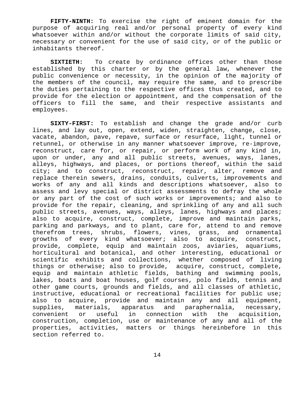**FIFTY-NINTH:** To exercise the right of eminent domain for the purpose of acquiring real and/or personal property of every kind whatsoever within and/or without the corporate limits of said city, necessary or convenient for the use of said city, or of the public or inhabitants thereof.

**SIXTIETH:** To create by ordinance offices other than those established by this charter or by the general law, whenever the public convenience or necessity, in the opinion of the majority of the members of the council, may require the same, and to prescribe the duties pertaining to the respective offices thus created, and to provide for the election or appointment, and the compensation of the officers to fill the same, and their respective assistants and employees.

**SIXTY-FIRST:** To establish and change the grade and/or curb lines, and lay out, open, extend, widen, straighten, change, close, vacate, abandon, pave, repave, surface or resurface, light, tunnel or retunnel, or otherwise in any manner whatsoever improve, re-improve, reconstruct, care for, or repair, or perform work of any kind in, upon or under, any and all public streets, avenues, ways, lanes, alleys, highways, and places, or portions thereof, within the said city; and to construct, reconstruct, repair, alter, remove and replace therein sewers, drains, conduits, culverts, improvements and works of any and all kinds and descriptions whatsoever, also to assess and levy special or district assessments to defray the whole or any part of the cost of such works or improvements; and also to provide for the repair, cleaning, and sprinkling of any and all such public streets, avenues, ways, alleys, lanes, highways and places; also to acquire, construct, complete, improve and maintain parks, parking and parkways, and to plant, care for, attend to and remove therefrom trees, shrubs, flowers, vines, grass, and ornamental growths of every kind whatsoever; also to acquire, construct, provide, complete, equip and maintain zoos, aviaries, aquariums, horticultural and botanical, and other interesting, educational or scientific exhibits and collections, whether composed of living things or otherwise; also to provide, acquire, construct, complete, equip and maintain athletic fields, bathing and swimming pools, lakes, boats and boat houses, golf courses, polo fields, tennis and other game courts, grounds and fields, and all classes of athletic, instructive, educational or recreational facilities for public use; also to acquire, provide and maintain any and all equipment, supplies, materials, apparatus and paraphernalia, necessary, convenient or useful in connection with the acquisition, construction, completion, use or maintenance of any and all of the properties, activities, matters or things hereinbefore in this section referred to.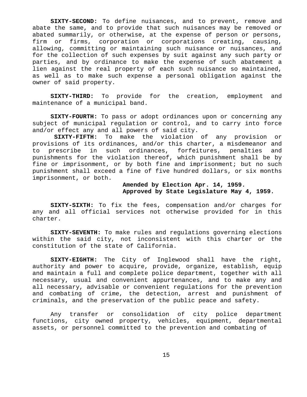**SIXTY-SECOND:** To define nuisances, and to prevent, remove and abate the same, and to provide that such nuisances may be removed or abated summarily, or otherwise, at the expense of person or persons, firm or firms, corporation or corporations creating, causing, allowing, committing or maintaining such nuisance or nuisances, and for the collection of such expenses by suit against any such party or parties, and by ordinance to make the expense of such abatement a lien against the real property of each such nuisance so maintained, as well as to make such expense a personal obligation against the owner of said property.

**SIXTY-THIRD:** To provide for the creation, employment and maintenance of a municipal band.

**SIXTY-FOURTH:** To pass or adopt ordinances upon or concerning any subject of municipal regulation or control, and to carry into force and/or effect any and all powers of said city.

**SIXTY-FIFTH:** To make the violation of any provision or provisions of its ordinances, and/or this charter, a misdemeanor and to prescribe in such ordinances, forfeitures, penalties and punishments for the violation thereof, which punishment shall be by fine or imprisonment, or by both fine and imprisonment; but no such punishment shall exceed a fine of five hundred dollars, or six months imprisonment, or both.

# **Amended by Election Apr. 14, 1959. Approved by State Legislature May 4, 1959.**

**SIXTY-SIXTH:** To fix the fees, compensation and/or charges for any and all official services not otherwise provided for in this charter.

**SIXTY-SEVENTH:** To make rules and regulations governing elections within the said city, not inconsistent with this charter or the constitution of the state of California.

**SIXTY-EIGHTH:** The City of Inglewood shall have the right, authority and power to acquire, provide, organize, establish, equip and maintain a full and complete police department, together with all necessary, usual and convenient appurtenances, and to make any and all necessary, advisable or convenient regulations for the prevention and combating of crime, the detection, arrest and punishment of criminals, and the preservation of the public peace and safety.

Any transfer or consolidation of city police department functions, city owned property, vehicles, equipment, departmental assets, or personnel committed to the prevention and combating of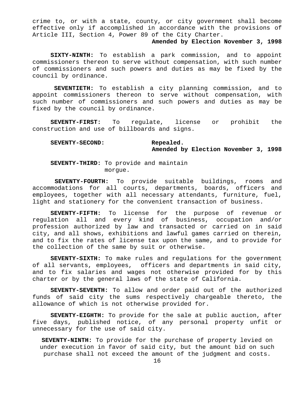crime to, or with a state, county, or city government shall become effective only if accomplished in accordance with the provisions of Article III, Section 4, Power 89 of the City Charter.

### **Amended by Election November 3, 1998**

**SIXTY-NINTH:** To establish a park commission, and to appoint commissioners thereon to serve without compensation, with such number of commissioners and such powers and duties as may be fixed by the council by ordinance.

**SEVENTIETH:** To establish a city planning commission, and to appoint commissioners thereon to serve without compensation, with such number of commissioners and such powers and duties as may be fixed by the council by ordinance.

**SEVENTY-FIRST:** To regulate, license or prohibit the construction and use of billboards and signs.

## **SEVENTY-SECOND: Repealed. Amended by Election November 3, 1998**

**SEVENTY-THIRD:** To provide and maintain morgue.

**SEVENTY-FOURTH:** To provide suitable buildings, rooms and accommodations for all courts, departments, boards, officers and employees, together with all necessary attendants, furniture, fuel, light and stationery for the convenient transaction of business.

**SEVENTY-FIFTH:** To license for the purpose of revenue or regulation all and every kind of business, occupation and/or profession authorized by law and transacted or carried on in said city, and all shows, exhibitions and lawful games carried on therein, and to fix the rates of license tax upon the same, and to provide for the collection of the same by suit or otherwise.

**SEVENTY-SIXTH:** To make rules and regulations for the government of all servants, employees, officers and departments in said city, and to fix salaries and wages not otherwise provided for by this charter or by the general laws of the state of California.

**SEVENTY-SEVENTH:** To allow and order paid out of the authorized funds of said city the sums respectively chargeable thereto, the allowance of which is not otherwise provided for.

**SEVENTY-EIGHTH:** To provide for the sale at public auction, after five days, published notice, of any personal property unfit or unnecessary for the use of said city.

**SEVENTY-NINTH:** To provide for the purchase of property levied on under execution in favor of said city, but the amount bid on such purchase shall not exceed the amount of the judgment and costs.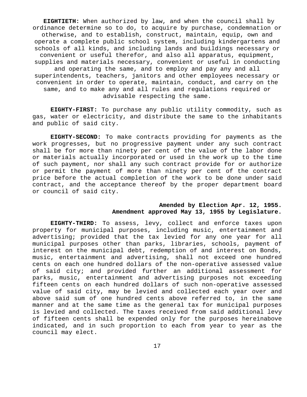**EIGHTIETH:** When authorized by law, and when the council shall by ordinance determine so to do, to acquire by purchase, condemnation or otherwise, and to establish, construct, maintain, equip, own and operate a complete public school system, including kindergartens and schools of all kinds, and including lands and buildings necessary or convenient or useful therefor, and also all apparatus, equipment, supplies and materials necessary, convenient or useful in conducting and operating the same, and to employ and pay any and all superintendents, teachers, janitors and other employees necessary or convenient in order to operate, maintain, conduct, and carry on the same, and to make any and all rules and regulations required or advisable respecting the same.

**EIGHTY-FIRST:** To purchase any public utility commodity, such as gas, water or electricity, and distribute the same to the inhabitants and public of said city.

**EIGHTY-SECOND:** To make contracts providing for payments as the work progresses, but no progressive payment under any such contract shall be for more than ninety per cent of the value of the labor done or materials actually incorporated or used in the work up to the time of such payment, nor shall any such contract provide for or authorize or permit the payment of more than ninety per cent of the contract price before the actual completion of the work to be done under said contract, and the acceptance thereof by the proper department board or council of said city.

### **Amended by Election Apr. 12, 1955. Amendment approved May 13, 1955 by Legislature.**

**EIGHTY-THIRD:** To assess, levy, collect and enforce taxes upon property for municipal purposes, including music, entertainment and advertising; provided that the tax levied for any one year for all municipal purposes other than parks, libraries, schools, payment of interest on the municipal debt, redemption of and interest on Bonds, music, entertainment and advertising, shall not exceed one hundred cents on each one hundred dollars of the non-operative assessed value of said city; and provided further an additional assessment for parks, music, entertainment and advertising purposes not exceeding fifteen cents on each hundred dollars of such non-operative assessed value of said city, may be levied and collected each year over and above said sum of one hundred cents above referred to, in the same manner and at the same time as the general tax for municipal purposes is levied and collected. The taxes received from said additional levy of fifteen cents shall be expended only for the purposes hereinabove indicated, and in such proportion to each from year to year as the council may elect.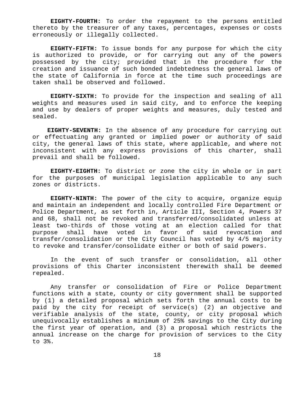**EIGHTY-FOURTH:** To order the repayment to the persons entitled thereto by the treasurer of any taxes, percentages, expenses or costs erroneously or illegally collected.

**EIGHTY-FIFTH:** To issue bonds for any purpose for which the city is authorized to provide, or for carrying out any of the powers possessed by the city; provided that in the procedure for the creation and issuance of such bonded indebtedness the general laws of the state of California in force at the time such proceedings are taken shall be observed and followed.

**EIGHTY-SIXTH:** To provide for the inspection and sealing of all weights and measures used in said city, and to enforce the keeping and use by dealers of proper weights and measures, duly tested and sealed.

**EIGHTY-SEVENTH:** In the absence of any procedure for carrying out or effectuating any granted or implied power or authority of said city, the general laws of this state, where applicable, and where not inconsistent with any express provisions of this charter, shall prevail and shall be followed.

**EIGHTY-EIGHTH:** To district or zone the city in whole or in part for the purposes of municipal legislation applicable to any such zones or districts.

**EIGHTY-NINTH:** The power of the city to acquire, organize equip and maintain an independent and locally controlled Fire Department or Police Department, as set forth in, Article III, Section 4, Powers 37 and 68, shall not be revoked and transferred/consolidated unless at least two-thirds of those voting at an election called for that purpose shall have voted in favor of said revocation and transfer/consolidation or the City Council has voted by 4/5 majority to revoke and transfer/consolidate either or both of said powers.

In the event of such transfer or consolidation, all other provisions of this Charter inconsistent therewith shall be deemed repealed.

Any transfer or consolidation of Fire or Police Department functions with a state, county or city government shall be supported by (1) a detailed proposal which sets forth the annual costs to be paid by the city for receipt of service(s) (2) an objective and verifiable analysis of the state, county, or city proposal which unequivocally establishes a minimum of 25% savings to the City during the first year of operation, and (3) a proposal which restricts the annual increase on the charge for provision of services to the City to 3%.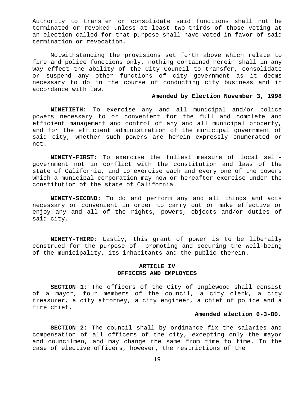Authority to transfer or consolidate said functions shall not be terminated or revoked unless at least two-thirds of those voting at an election called for that purpose shall have voted in favor of said termination or revocation.

Notwithstanding the provisions set forth above which relate to fire and police functions only, nothing contained herein shall in any way effect the ability of the City Council to transfer, consolidate or suspend any other functions of city government as it deems necessary to do in the course of conducting city business and in accordance with law.

### **Amended by Election November 3, 1998**

**NINETIETH:** To exercise any and all municipal and/or police powers necessary to or convenient for the full and complete and efficient management and control of any and all municipal property, and for the efficient administration of the municipal government of said city, whether such powers are herein expressly enumerated or not.

**NINETY-FIRST:** To exercise the fullest measure of local selfgovernment not in conflict with the constitution and laws of the state of California, and to exercise each and every one of the powers which a municipal corporation may now or hereafter exercise under the constitution of the state of California.

**NINETY-SECOND:** To do and perform any and all things and acts necessary or convenient in order to carry out or make effective or enjoy any and all of the rights, powers, objects and/or duties of said city.

**NINETY-THIRD:** Lastly, this grant of power is to be liberally construed for the purpose of promoting and securing the well-being of the municipality, its inhabitants and the public therein.

### **ARTICLE IV OFFICERS AND EMPLOYEES**

**SECTION 1**: The officers of the City of Inglewood shall consist of a mayor, four members of the council, a city clerk, a city treasurer, a city attorney, a city engineer, a chief of police and a fire chief.

### **Amended election 6-3-80.**

**SECTION 2:** The council shall by ordinance fix the salaries and compensation of all officers of the city, excepting only the mayor and councilmen, and may change the same from time to time. In the case of elective officers, however, the restrictions of the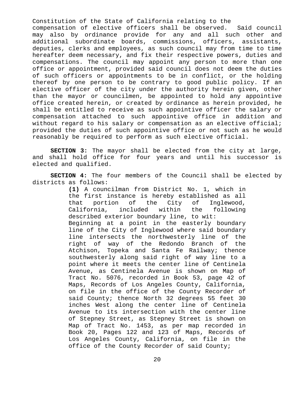Constitution of the State of California relating to the compensation of elective officers shall be observed. Said council may also by ordinance provide for any and all such other and additional subordinate boards, commissions, officers, assistants, deputies, clerks and employees, as such council may from time to time hereafter deem necessary, and fix their respective powers, duties and compensations. The council may appoint any person to more than one office or appointment, provided said council does not deem the duties of such officers or appointments to be in conflict, or the holding thereof by one person to be contrary to good public policy. If an elective officer of the city under the authority herein given, other than the mayor or councilmen, be appointed to hold any appointive office created herein, or created by ordinance as herein provided, he shall be entitled to receive as such appointive officer the salary or compensation attached to such appointive office in addition and without regard to his salary or compensation as an elective official; provided the duties of such appointive office or not such as he would reasonably be required to perform as such elective official.

**SECTION 3:** The mayor shall be elected from the city at large, and shall hold office for four years and until his successor is elected and qualified.

**SECTION 4:** The four members of the Council shall be elected by districts as follows:

> **(1)** A councilman from District No. 1, which in the first instance is hereby established as all that portion of the City of Inglewood, California, included within the following described exterior boundary line, to wit: Beginning at a point in the easterly boundary line of the City of Inglewood where said boundary line intersects the northwesterly line of the right of way of the Redondo Branch of the Atchison, Topeka and Santa Fe Railway; thence southwesterly along said right of way line to a point where it meets the center line of Centinela Avenue, as Centinela Avenue is shown on Map of Tract No. 5076, recorded in Book 53, page 42 of Maps, Records of Los Angeles County, California, on file in the office of the County Recorder of said County; thence North 32 degrees 55 feet 30 inches West along the center line of Centinela Avenue to its intersection with the center line of Stepney Street, as Stepney Street is shown on Map of Tract No. 1453, as per map recorded in Book 20, Pages 122 and 123 of Maps, Records of Los Angeles County, California, on file in the office of the County Recorder of said County;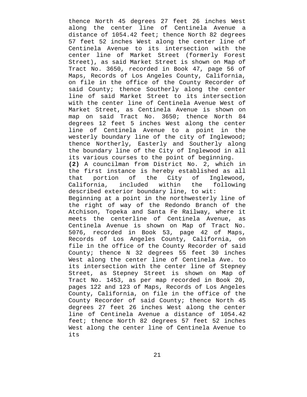thence North 45 degrees 27 feet 26 inches West along the center line of Centinela Avenue a distance of 1054.42 feet; thence North 82 degrees 57 feet 52 inches West along the center line of Centinela Avenue to its intersection with the center line of Market Street (formerly Forest Street), as said Market Street is shown on Map of Tract No. 3650, recorded in Book 47, page 56 of Maps, Records of Los Angeles County, California, on file in the office of the County Recorder of said County; thence Southerly along the center line of said Market Street to its intersection with the center line of Centinela Avenue West of Market Street, as Centinela Avenue is shown on map on said Tract No. 3650; thence North 84 degrees 12 feet 5 inches West along the center line of Centinela Avenue to a point in the westerly boundary line of the city of Inglewood; thence Northerly, Easterly and Southerly along the boundary line of the City of Inglewood in all its various courses to the point of beginning. **(2)** A councilman from District No. 2, which in the first instance is hereby established as all that portion of the City of Inglewood, California, included within the following described exterior boundary line, to wit: Beginning at a point in the northwesterly line of the right of way of the Redondo Branch of the Atchison, Topeka and Santa Fe Railway, where it meets the centerline of Centinela Avenue, as Centinela Avenue is shown on Map of Tract No. 5076, recorded in Book 53, page 42 of Maps, Records of Los Angeles County, California, on file in the office of the County Recorder of said County; thence N 32 degrees 55 feet 30 inches West along the center line of Centinela Ave. to its intersection with the center line of Stepney Street, as Stepney Street is shown on Map of Tract No. 1453, as per map recorded in Book 20, pages 122 and 123 of Maps, Records of Los Angeles County, California, on file in the office of the County Recorder of said County; thence North 45 degrees 27 feet 26 inches West along the center line of Centinela Avenue a distance of 1054.42 feet; thence North 82 degrees 57 feet 52 inches West along the center line of Centinela Avenue to its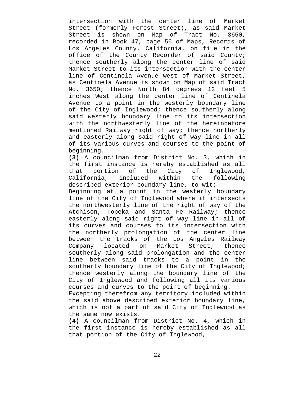intersection with the center line of Market Street (formerly Forest Street), as said Market Street is shown on Map of Tract No. 3650, recorded in Book 47, page 56 of Maps, Records of Los Angeles County, California, on file in the office of the County Recorder of said County; thence southerly along the center line of said Market Street to its intersection with the center line of Centinela Avenue west of Market Street, as Centinela Avenue is shown on Map of said Tract No. 3650; thence North 84 degrees 12 feet 5 inches West along the center line of Centinela Avenue to a point in the westerly boundary line of the City of Inglewood; thence southerly along said westerly boundary line to its intersection with the northwesterly line of the hereinbefore mentioned Railway right of way; thence northerly and easterly along said right of way line in all of its various curves and courses to the point of beginning.

**(3)** A councilman from District No. 3, which in the first instance is hereby established as all that portion of the City of Inglewood, California, included within the following described exterior boundary line, to wit:

Beginning at a point in the westerly boundary line of the City of Inglewood where it intersects the northwesterly line of the right of way of the Atchison, Topeka and Santa Fe Railway; thence easterly along said right of way line in all of its curves and courses to its intersection with the northerly prolongation of the center line between the tracks of the Los Angeles Railway Company located on Market Street; thence southerly along said prolongation and the center line between said tracks to a point in the southerly boundary line of the City of Inglewood; thence westerly along the boundary line of the City of Inglewood and following all its various courses and curves to the point of beginning.

Excepting therefrom any territory included within the said above described exterior boundary line, which is not a part of said City of Inglewood as the same now exists.

**(4)** A councilman from District No. 4, which in the first instance is hereby established as all that portion of the City of Inglewood,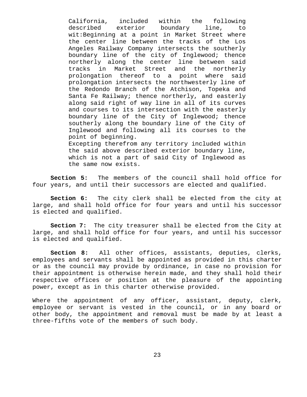California, included within the following described exterior boundary line, to wit:Beginning at a point in Market Street where the center line between the tracks of the Los Angeles Railway Company intersects the southerly boundary line of the city of Inglewood; thence northerly along the center line between said tracks in Market Street and the northerly prolongation thereof to a point where said prolongation intersects the northwesterly line of the Redondo Branch of the Atchison, Topeka and Santa Fe Railway; thence northerly, and easterly along said right of way line in all of its curves and courses to its intersection with the easterly boundary line of the City of Inglewood; thence southerly along the boundary line of the City of Inglewood and following all its courses to the point of beginning. Excepting therefrom any territory included within the said above described exterior boundary line, which is not a part of said City of Inglewood as

**Section 5:** The members of the council shall hold office for four years, and until their successors are elected and qualified.

the same now exists.

**Section 6:** The city clerk shall be elected from the city at large, and shall hold office for four years and until his successor is elected and qualified.

**Section 7:** The city treasurer shall be elected from the City at large, and shall hold office for four years, and until his successor is elected and qualified.

**Section 8:** All other offices, assistants, deputies, clerks, employees and servants shall be appointed as provided in this charter or as the council may provide by ordinance, in case no provision for their appointment is otherwise herein made, and they shall hold their respective offices or position at the pleasure of the appointing power, except as in this charter otherwise provided.

Where the appointment of any officer, assistant, deputy, clerk, employee or servant is vested in the council, or in any board or other body, the appointment and removal must be made by at least a three-fifths vote of the members of such body.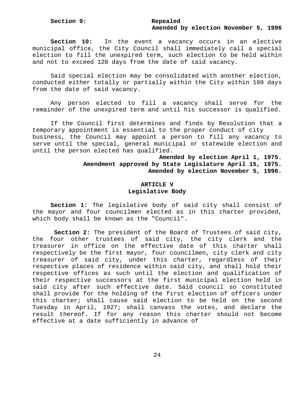# **Amended by election November 5, 1996**

**Section 10:** In the event a vacancy occurs in an elective municipal office, the City Council shall immediately call a special election to fill the unexpired term, such election to be held within and not to exceed 120 days from the date of said vacancy.

Said special election may be consolidated with another election, conducted either totally or partially within the City within 180 days from the date of said vacancy.

Any person elected to fill a vacancy shall serve for the remainder of the unexpired term and until his successor is qualified.

If the Council first determines and finds by Resolution that a temporary appointment is essential to the proper conduct of city business, the Council may appoint a person to fill any vacancy to serve until the special, general municipal or statewide election and until the person elected has qualified.

# **Amended by election April 1, 1975. Amendment approved by State Legislature April 15, 1975. Amended by election November 5, 1996.**

# **ARTICLE V Legislative Body**

**Section 1:** The legislative body of said city shall consist of the mayor and four councilmen elected as in this charter provided, which body shall be known as the "Council".

**Section 2:** The president of the Board of Trustees of said city, the four other trustees of said city, the city clerk and the treasurer in office on the effective date of this charter shall respectively be the first mayor, four councilmen, city clerk and city treasurer of said city, under this charter, regardless of their respective places of residence within said city, and shall hold their respective offices as such until the election and qualification of their respective successors at the first municipal election held in said city after such effective date. Said council so constituted shall provide for the holding of the first election of officers under this charter; shall cause said election to be held on the second Tuesday in April, 1927; shall canvass the votes, and declare the result thereof. If for any reason this charter should not become effective at a date sufficiently in advance of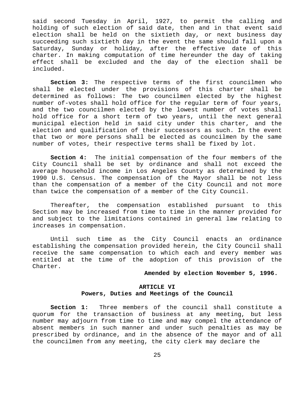said second Tuesday in April, 1927, to permit the calling and holding of such election of said date, then and in that event said election shall be held on the sixtieth day, or next business day succeeding such sixtieth day in the event the same should fall upon a Saturday, Sunday or holiday, after the effective date of this charter. In making computation of time hereunder the day of taking effect shall be excluded and the day of the election shall be included.

**Section 3:** The respective terms of the first councilmen who shall be elected under the provisions of this charter shall be determined as follows: The two councilmen elected by the highest number of-votes shall hold office for the regular term of four years, and the two councilmen elected by the lowest number of votes shall hold office for a short term of two years, until the next general municipal election held in said city under this charter, and the election and qualification of their successors as such. In the event that two or more persons shall be elected as councilmen by the same number of votes, their respective terms shall be fixed by lot.

**Section 4:** The initial compensation of the four members of the City Council shall be set by ordinance and shall not exceed the average household income in Los Angeles County as determined by the 1990 U.S. Census. The compensation of the Mayor shall be not less than the compensation of a member of the City Council and not more than twice the compensation of a member of the City Council.

Thereafter, the compensation established pursuant to this Section may be increased from time to time in the manner provided for and subject to the limitations contained in general law relating to increases in compensation.

Until such time as the City Council enacts an ordinance establishing the compensation provided herein, the City Council shall receive the same compensation to which each and every member was entitled at the time of the adoption of this provision of the Charter.

### **Amended by election November 5, 1996.**

# **ARTICLE VI Powers, Duties and Meetings of the Council**

**Section 1:** Three members of the council shall constitute a quorum for the transaction of business at any meeting, but less number may adjourn from time to time and may compel the attendance of absent members in such manner and under such penalties as may be prescribed by ordinance, and in the absence of the mayor and of all the councilmen from any meeting, the city clerk may declare the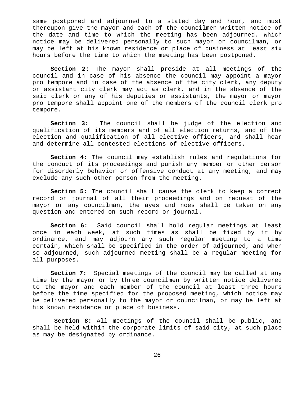same postponed and adjourned to a stated day and hour, and must thereupon give the mayor and each of the councilmen written notice of the date and time to which the meeting has been adjourned, which notice may be delivered personally to such mayor or councilman, or may be left at his known residence or place of business at least six hours before the time to which the meeting has been postponed.

**Section 2:** The mayor shall preside at all meetings of the council and in case of his absence the council may appoint a mayor pro tempore and in case of the absence of the city clerk, any deputy or assistant city clerk may act as clerk, and in the absence of the said clerk or any of his deputies or assistants, the mayor or mayor pro tempore shall appoint one of the members of the council clerk pro tempore.

**Section 3:** The council shall be judge of the election and qualification of its members and of all election returns, and of the election and qualification of all elective officers, and shall hear and determine all contested elections of elective officers.

**Section 4:** The council may establish rules and regulations for the conduct of its proceedings and punish any member or other person for disorderly behavior or offensive conduct at any meeting, and may exclude any such other person from the meeting.

**Section 5:** The council shall cause the clerk to keep a correct record or journal of all their proceedings and on request of the mayor or any councilman, the ayes and noes shall be taken on any question and entered on such record or journal.

**Section 6:** Said council shall hold regular meetings at least once in each week, at such times as shall be fixed by it by ordinance, and may adjourn any such regular meeting to a time certain, which shall be specified in the order of adjourned, and when so adjourned, such adjourned meeting shall be a regular meeting for all purposes.

**Section 7:** Special meetings of the council may be called at any time by the mayor or by three councilmen by written notice delivered to the mayor and each member of the council at least three hours before the time specified for the proposed meeting, which notice may be delivered personally to the mayor or councilman, or may be left at his known residence or place of business.

**Section 8:** All meetings of the council shall be public, and shall be held within the corporate limits of said city, at such place as may be designated by ordinance.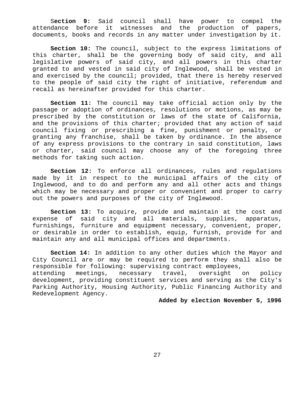S**ection 9:** Said council shall have power to compel the attendance before it witnesses and the production of papers, documents, books and records in any matter under investigation by it.

**Section 10:** The council, subject to the express limitations of this charter, shall be the governing body of said city, and all legislative powers of said city, and all powers in this charter granted to and vested in said city of Inglewood, shall be vested in and exercised by the council; provided, that there is hereby reserved to the people of said city the right of initiative, referendum and recall as hereinafter provided for this charter.

**Section 11:** The council may take official action only by the passage or adoption of ordinances, resolutions or motions, as may be prescribed by the constitution or laws of the state of California, and the provisions of this charter; provided that any action of said council fixing or prescribing a fine, punishment or penalty, or granting any franchise, shall be taken by ordinance. In the absence of any express provisions to the contrary in said constitution, laws or charter, said council may choose any of the foregoing three methods for taking such action.

**Section 12:** To enforce all ordinances, rules and regulations made by it in respect to the municipal affairs of the city of Inglewood, and to do and perform any and all other acts and things which may be necessary and proper or convenient and proper to carry out the powers and purposes of the city of Inglewood.

**Section 13:** To acquire, provide and maintain at the cost and expense of said city and all materials, supplies, apparatus, furnishings, furniture and equipment necessary, convenient, proper, or desirable in order to establish, equip, furnish, provide for and maintain any and all municipal offices and departments.

**Section 14:** In addition to any other duties which the Mayor and City Council are or may be required to perform they shall also be responsible for following: supervising contract employees, attending meetings, necessary travel, oversight on policy development, providing constituent services and serving as the City's Parking Authority, Housing Authority, Public Financing Authority and Redevelopment Agency.

### **Added by election November 5, 1996**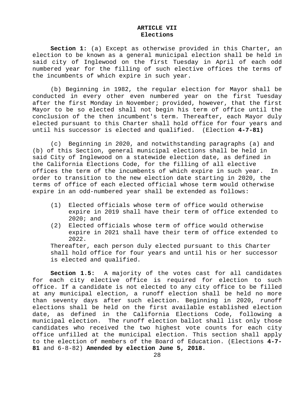### **ARTICLE VII Elections**

**Section 1:** (a) Except as otherwise provided in this Charter, an election to be known as a general municipal election shall be held in said city of Inglewood on the first Tuesday in April of each odd numbered year for the filling of such elective offices the terms of the incumbents of which expire in such year.

(b) Beginning in 1982, the regular election for Mayor shall be conducted in every other even numbered year on the first Tuesday after the first Monday in November; provided, however, that the first Mayor to be so elected shall not begin his term of office until the conclusion of the then incumbent's term. Thereafter, each Mayor duly elected pursuant to this Charter shall hold office for four years and until his successor is elected and qualified. (Election **4-7-81)**

(c) Beginning in 2020, and notwithstanding paragraphs (a) and (b) of this Section, general municipal elections shall be held in said City of Inglewood on a statewide election date, as defined in the California Elections Code, for the filling of all elective offices the term of the incumbents of which expire in such year. In order to transition to the new election date starting in 2020, the terms of office of each elected official whose term would otherwise expire in an odd-numbered year shall be extended as follows:

- (1) Elected officials whose term of office would otherwise expire in 2019 shall have their term of office extended to 2020; and
- (2) Elected officials whose term of office would otherwise expire in 2021 shall have their term of office extended to 2022.

Thereafter, each person duly elected pursuant to this Charter shall hold office for four years and until his or her successor is elected and qualified.

**Section 1.5:** A majority of the votes cast for all candidates for each city elective office is required for election to such office. If a candidate is not elected to any city office to be filled at any municipal election, a runoff election shall be held no more than seventy days after such election. Beginning in 2020, runoff elections shall be held on the first available established election date, as defined in the California Elections Code, following a municipal election. The runoff election ballot shall list only those candidates who received the two highest vote counts for each city office unfilled at the municipal election. This section shall apply to the election of members of the Board of Education. (Elections **4-7- 81** and 6-8-82) **Amended by election June 5, 2018.**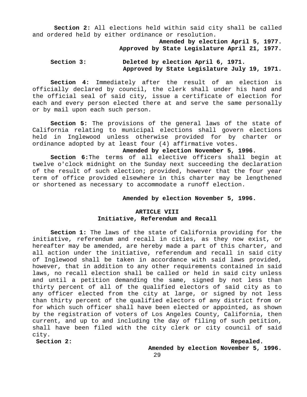**Section 2:** All elections held within said city shall be called and ordered held by either ordinance or resolution.

> **Amended by election April 5, 1977. Approved by State Legislature April 21, 1977.**

### **Section 3: Deleted by election April 6, 1971. Approved by State Legislature July 19, 1971.**

**Section 4:** Immediately after the result of an election is officially declared by council, the clerk shall under his hand and the official seal of said city, issue a certificate of election for each and every person elected there at and serve the same personally or by mail upon each such person.

**Section 5:** The provisions of the general laws of the state of California relating to municipal elections shall govern elections held in Inglewood unless otherwise provided for by charter or ordinance adopted by at least four (4) affirmative votes.

### **Amended by election November 5, 1996.**

**Section 6:**The terms of all elective officers shall begin at twelve o'clock midnight on the Sunday next succeeding the declaration of the result of such election; provided, however that the four year term of office provided elsewhere in this charter may be lengthened or shortened as necessary to accommodate a runoff election.

### **Amended by election November 5, 1996.**

### **ARTICLE VIII Initiative, Referendum and Recall**

**Section 1:** The laws of the state of California providing for the initiative, referendum and recall in cities, as they now exist, or hereafter may be amended, are hereby made a part of this charter, and all action under the initiative, referendum and recall in said city of Inglewood shall be taken in accordance with said laws provided, however, that in addition to any other requirements contained in said laws, no recall election shall be called or held in said city unless and until a petition demanding the same, signed by not less than thirty percent of all of the qualified electors of said city as to any officer elected from the city at large, or signed by not less than thirty percent of the qualified electors of any district from or for which such officer shall have been elected or appointed, as shown by the registration of voters of Los Angeles County, California, then current, and up to and including the day of filing of such petition, shall have been filed with the city clerk or city council of said city.

**Section 2:** Repealed.

**Amended by election November 5, 1996.**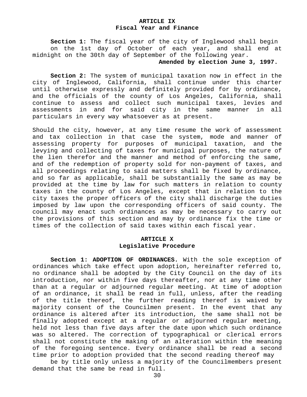### **ARTICLE IX Fiscal Year and Finance**

**Section 1:** The fiscal year of the city of Inglewood shall begin on the 1st day of October of each year, and shall end at midnight on the 30th day of September of the following year.

### **Amended by election June 3, 1997.**

**Section 2:** The system of municipal taxation now in effect in the city of Inglewood, California, shall continue under this charter until otherwise expressly and definitely provided for by ordinance, and the officials of the county of Los Angeles, California, shall continue to assess and collect such municipal taxes, levies and assessments in and for said city in the same manner in all particulars in every way whatsoever as at present.

Should the city, however, at any time resume the work of assessment and tax collection in that case the system, mode and manner of assessing property for purposes of municipal taxation, and the levying and collecting of taxes for municipal purposes, the nature of the lien therefor and the manner and method of enforcing the same, and of the redemption of property sold for non-payment of taxes, and all proceedings relating to said matters shall be fixed by ordinance, and so far as applicable, shall be substantially the same as may be provided at the time by law for such matters in relation to county taxes in the county of Los Angeles, except that in relation to the city taxes the proper officers of the city shall discharge the duties imposed by law upon the corresponding officers of said county. The council may enact such ordinances as may be necessary to carry out the provisions of this section and may by ordinance fix the time or times of the collection of said taxes within each fiscal year.

### **ARTICLE X Legislative Procedure**

**Section 1: ADOPTION OF ORDINANCES.** With the sole exception of ordinances which take effect upon adoption, hereinafter referred to, no ordinance shall be adopted by the City Council on the day of its introduction, nor within five days thereafter, nor at any time other than at a regular or adjourned regular meeting. At time of adoption of an ordinance, it shall be read in full, unless, after the reading of the title thereof, the further reading thereof is waived by majority consent of the Councilmen present. In the event that any ordinance is altered after its introduction, the same shall not be finally adopted except at a regular or adjourned regular meeting, held not less than five days after the date upon which such ordinance was so altered. The correction of typographical or clerical errors shall not constitute the making of an alteration within the meaning of the foregoing sentence. Every ordinance shall be read a second time prior to adoption provided that the second reading thereof may

be by title only unless a majority of the Councilmembers present demand that the same be read in full.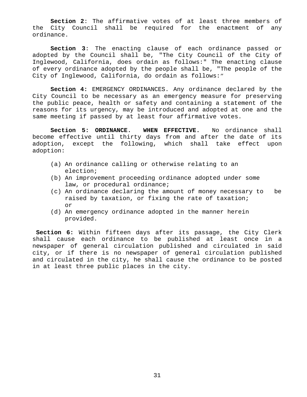**Section 2**: The affirmative votes of at least three members of the City Council shall be required for the enactment of any ordinance.

**Section 3**: The enacting clause of each ordinance passed or adopted by the Council shall be, "The City Council of the City of Inglewood, California, does ordain as follows:" The enacting clause of every ordinance adopted by the people shall be, "The people of the City of Inglewood, California, do ordain as follows:"

**Section 4:** EMERGENCY ORDINANCES. Any ordinance declared by the City Council to be necessary as an emergency measure for preserving the public peace, health or safety and containing a statement of the reasons for its urgency, may be introduced and adopted at one and the same meeting if passed by at least four affirmative votes.

**Section 5: ORDINANCE. WHEN EFFECTIVE.** No ordinance shall become effective until thirty days from and after the date of its adoption, except the following, which shall take effect upon adoption:

- (a) An ordinance calling or otherwise relating to an election;
- (b) An improvement proceeding ordinance adopted under some law, or procedural ordinance;
- (c) An ordinance declaring the amount of money necessary to be raised by taxation, or fixing the rate of taxation; or
- (d) An emergency ordinance adopted in the manner herein provided.

**Section 6:** Within fifteen days after its passage, the City Clerk shall cause each ordinance to be published at least once in a newspaper of general circulation published and circulated in said city, or if there is no newspaper of general circulation published and circulated in the city, he shall cause the ordinance to be posted in at least three public places in the city.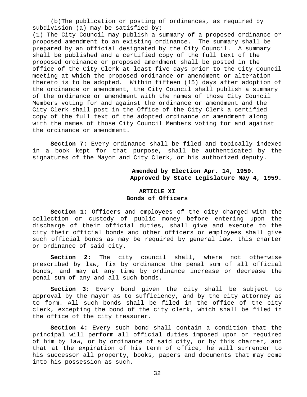(b)The publication or posting of ordinances, as required by subdivision (a) may be satisfied by:

(1) The City Council may publish a summary of a proposed ordinance or proposed amendment to an existing ordinance. The summary shall be prepared by an official designated by the City Council. A summary shall be published and a certified copy of the full text of the proposed ordinance or proposed amendment shall be posted in the office of the City Clerk at least five days prior to the City Council meeting at which the proposed ordinance or amendment or alteration thereto is to be adopted. Within fifteen (15) days after adoption of the ordinance or amendment, the City Council shall publish a summary of the ordinance or amendment with the names of those City Council Members voting for and against the ordinance or amendment and the City Clerk shall post in the Office of the City Clerk a certified copy of the full text of the adopted ordinance or amendment along with the names of those City Council Members voting for and against the ordinance or amendment.

**Section 7:** Every ordinance shall be filed and topically indexed in a book kept for that purpose, shall be authenticated by the signatures of the Mayor and City Clerk, or his authorized deputy.

### **Amended by Election Apr. 14, 1959. Approved by State Legislature May 4, 1959.**

### **ARTICLE XI Bonds of Officers**

**Section 1:** Officers and employees of the city charged with the collection or custody of public money before entering upon the discharge of their official duties, shall give and execute to the city their official bonds and other officers or employees shall give such official bonds as may be required by general law, this charter or ordinance of said city.

**Section 2:** The city council shall, where not otherwise prescribed by law, fix by ordinance the penal sum of all official bonds, and may at any time by ordinance increase or decrease the penal sum of any and all such bonds.

**Section 3:** Every bond given the city shall be subject to approval by the mayor as to sufficiency, and by the city attorney as to form. All such bonds shall be filed in the office of the city clerk, excepting the bond of the city clerk, which shall be filed in the office of the city treasurer.

**Section 4:** Every such bond shall contain a condition that the principal will perform all official duties imposed upon or required of him by law, or by ordinance of said city, or by this charter, and that at the expiration of his term of office, he will surrender to his successor all property, books, papers and documents that may come into his possession as such.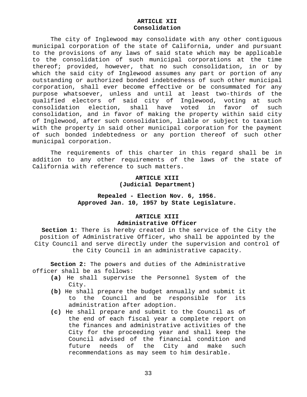#### **ARTICLE XII Consolidation**

The city of Inglewood may consolidate with any other contiguous municipal corporation of the state of California, under and pursuant to the provisions of any laws of said state which may be applicable to the consolidation of such municipal corporations at the time thereof; provided, however, that no such consolidation, in or by which the said city of Inglewood assumes any part or portion of any outstanding or authorized bonded indebtedness of such other municipal corporation, shall ever become effective or be consummated for any purpose whatsoever, unless and until at least two-thirds of the qualified electors of said city of Inglewood, voting at such consolidation election, shall have voted in favor of such consolidation, and in favor of making the property within said city of Inglewood, after such consolidation, liable or subject to taxation with the property in said other municipal corporation for the payment of such bonded indebtedness or any portion thereof of such other municipal corporation.

The requirements of this charter in this regard shall be in addition to any other requirements of the laws of the state of California with reference to such matters.

#### **ARTICLE XIII (Judicial Department)**

# **Repealed - Election Nov. 6, 1956. Approved Jan. 10, 1957 by State Legislature.**

#### **ARTICLE XIII Administrative Officer**

 **Section 1:** There is hereby created in the service of the City the position of Administrative Officer, who shall be appointed by the City Council and serve directly under the supervision and control of the City Council in an administrative capacity.

**Section 2:** The powers and duties of the Administrative officer shall be as follows:

- **(a)** He shall supervise the Personnel System of the City.
- **(b)** He shall prepare the budget annually and submit it to the Council and be responsible for its administration after adoption.
- **(c)** He shall prepare and submit to the Council as of the end of each fiscal year a complete report on the finances and administrative activities of the City for the proceeding year and shall keep the Council advised of the financial condition and future needs of the City and make such recommendations as may seem to him desirable.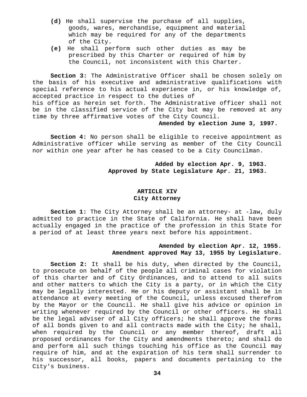- **(d)** He shall supervise the purchase of all supplies, goods, wares, merchandise, equipment and material which may be required for any of the departments of the City.
- **(e)** He shall perform such other duties as may be prescribed by this Charter or required of him by the Council, not inconsistent with this Charter.

**Section 3:** The Administrative Officer shall be chosen solely on the basis of his executive and administrative qualifications with special reference to his actual experience in, or his knowledge of, accepted practice in respect to the duties of his office as herein set forth. The Administrative officer shall not be in the classified service of the City but may be removed at any time by three affirmative votes of the City Council.

#### **Amended by election June 3, 1997.**

**Section 4:** No person shall be eligible to receive appointment as Administrative officer while serving as member of the City Council nor within one year after he has ceased to be a City Councilman.

> **Added by election Apr. 9, 1963. Approved by State Legislature Apr. 21, 1963.**

## **ARTICLE XIV City Attorney**

**Section 1:** The City Attorney shall be an attorney- at -law, duly admitted to practice in the State of California. He shall have been actually engaged in the practice of the profession in this State for a period of at least three years next before his appointment.

## **Amended by election Apr. 12, 1955. Amendment approved May 13, 1955 by Legislature.**

**Section 2:** It shall be his duty, when directed by the Council, to prosecute on behalf of the people all criminal cases for violation of this charter and of City Ordinances, and to attend to all suits and other matters to which the City is a party, or in which the City may be legally interested. He or his deputy or assistant shall be in attendance at every meeting of the Council, unless excused therefrom by the Mayor or the Council. He shall give his advice or opinion in writing whenever required by the Council or other officers. He shall be the legal adviser of all City officers; he shall approve the forms of all bonds given to and all contracts made with the City; he shall, when required by the Council or any member thereof, draft all proposed ordinances for the City and amendments thereto; and shall do and perform all such things touching his office as the Council may require of him, and at the expiration of his term shall surrender to his successor, all books, papers and documents pertaining to the City's business.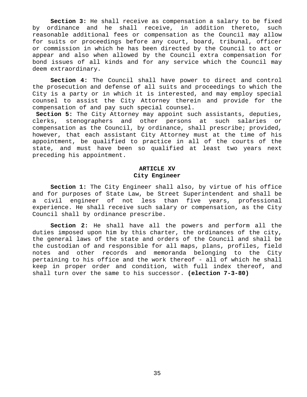**Section 3:** He shall receive as compensation a salary to be fixed by ordinance and he shall receive, in addition thereto, such reasonable additional fees or compensation as the Council may allow for suits or proceedings before any court, board, tribunal, officer or commission in which he has been directed by the Council to act or appear and also when allowed by the Council extra compensation for bond issues of all kinds and for any service which the Council may deem extraordinary.

**Section 4:** The Council shall have power to direct and control the prosecution and defense of all suits and proceedings to which the City is a party or in which it is interested, and may employ special counsel to assist the City Attorney therein and provide for the compensation of and pay such special counsel.

**Section 5:** The City Attorney may appoint such assistants, deputies, clerks, stenographers and other persons at such salaries or compensation as the Council, by ordinance, shall prescribe; provided, however, that each assistant City Attorney must at the time of his appointment, be qualified to practice in all of the courts of the state, and must have been so qualified at least two years next preceding his appointment.

### **ARTICLE XV City Engineer**

**Section 1:** The City Engineer shall also, by virtue of his office and for purposes of State Law, be Street Superintendent and shall be a civil engineer of not less than five years, professional experience. He shall receive such salary or compensation, as the City Council shall by ordinance prescribe.

**Section 2:** He shall have all the powers and perform all the duties imposed upon him by this charter, the ordinances of the city, the general laws of the state and orders of the Council and shall be the custodian of and responsible for all maps, plans, profiles, field notes and other records and memoranda belonging to the City pertaining to his office and the work thereof - all of which he shall keep in proper order and condition, with full index thereof, and shall turn over the same to his successor. **(election 7-3-80)**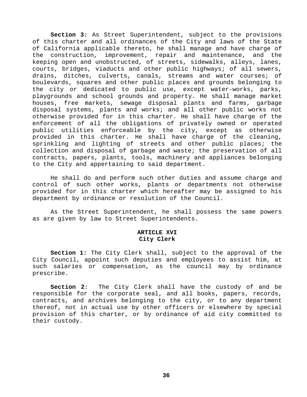**Section 3:** As Street Superintendent, subject to the provisions of this charter and all ordinances of the City and laws of the State of California applicable thereto, he shall manage and have charge of the construction, improvement, repair and maintenance, and the keeping open and unobstructed, of streets, sidewalks, alleys, lanes, courts, bridges, viaducts and other public highways; of all sewers, drains, ditches, culverts, canals, streams and water courses; of boulevards, squares and other public places and grounds belonging to the city or dedicated to public use, except water-works, parks, playgrounds and school grounds and property. He shall manage market houses, free markets, sewage disposal plants and farms, garbage disposal systems, plants and works; and all other public works not otherwise provided for in this charter. He shall have charge of the enforcement of all the obligations of privately owned or operated public utilities enforceable by the city, except as otherwise provided in this charter. He shall have charge of the cleaning, sprinkling and lighting of streets and other public places; the collection and disposal of garbage and waste; the preservation of all contracts, papers, plants, tools, machinery and appliances belonging to the City and appertaining to said department.

He shall do and perform such other duties and assume charge and control of such other works, plants or departments not otherwise provided for in this charter which hereafter may be assigned to his department by ordinance or resolution of the Council.

As the Street Superintendent, he shall possess the same powers as are given by law to Street Superintendents.

#### **ARTICLE XVI City Clerk**

**Section 1:** The City Clerk shall, subject to the approval of the City Council, appoint such deputies and employees to assist him, at such salaries or compensation, as the council may by ordinance prescribe.

**Section 2**: The City Clerk shall have the custody of and be responsible for the corporate seal, and all books, papers, records, contracts, and archives belonging to the city, or to any department thereof, not in actual use by other officers or elsewhere by special provision of this charter, or by ordinance of aid city committed to their custody.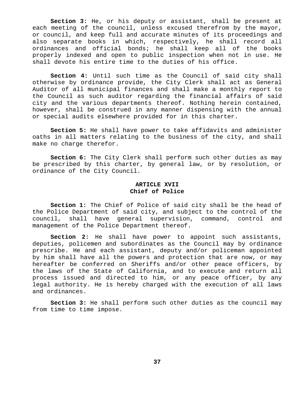**Section 3:** He, or his deputy or assistant, shall be present at each meeting of the council, unless excused therefrom by the mayor, or council, and keep full and accurate minutes of its proceedings and also separate books in which, respectively, he shall record all ordinances and official bonds; he shall keep all of the books properly indexed and open to public inspection when not in use. He shall devote his entire time to the duties of his office.

**Section 4:** Until such time as the Council of said city shall otherwise by ordinance provide, the City Clerk shall act as General Auditor of all municipal finances and shall make a monthly report to the Council as such auditor regarding the financial affairs of said city and the various departments thereof. Nothing herein contained, however, shall be construed in any manner dispensing with the annual or special audits elsewhere provided for in this charter.

**Section 5:** He shall have power to take affidavits and administer oaths in all matters relating to the business of the city, and shall make no charge therefor.

**Section 6:** The City Clerk shall perform such other duties as may be prescribed by this charter, by general law, or by resolution, or ordinance of the City Council.

#### **ARTICLE XVII Chief of Police**

**Section 1:** The Chief of Police of said city shall be the head of the Police Department of said city, and subject to the control of the council, shall have general supervision, command, control and management of the Police Department thereof.

**Section 2:** He shall have power to appoint such assistants, deputies, policemen and subordinates as the Council may by ordinance prescribe. He and each assistant, deputy and/or policeman appointed by him shall have all the powers and protection that are now, or may hereafter be conferred on Sheriffs and/or other peace officers, by the laws of the State of California, and to execute and return all process issued and directed to him, or any peace officer, by any legal authority. He is hereby charged with the execution of all laws and ordinances.

**Section 3:** He shall perform such other duties as the council may from time to time impose.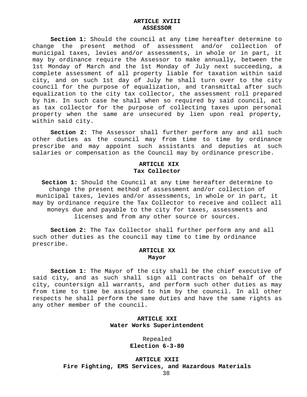#### **ARTICLE XVIII ASSESSOR**

**Section 1:** Should the council at any time hereafter determine to change the present method of assessment and/or collection of municipal taxes, levies and/or assessments, in whole or in part, it may by ordinance require the Assessor to make annually, between the 1st Monday of March and the 1st Monday of July next succeeding, a complete assessment of all property liable for taxation within said city, and on such 1st day of July he shall turn over to the city council for the purpose of equalization, and transmittal after such equalization to the city tax collector, the assessment roll prepared by him. In such case he shall when so required by said council, act as tax collector for the purpose of collecting taxes upon personal property when the same are unsecured by lien upon real property, within said city.

**Section 2:** The Assessor shall further perform any and all such other duties as the council may from time to time by ordinance prescribe and may appoint such assistants and deputies at such salaries or compensation as the Council may by ordinance prescribe.

#### **ARTICLE XIX Tax Collector**

**Section 1:** Should the Council at any time hereafter determine to change the present method of assessment and/or collection of municipal taxes, levies and/or assessments, in whole or in part, it may by ordinance require the Tax Collector to receive and collect all moneys due and payable to the city for taxes, assessments and licenses and from any other source or sources.

**Section 2:** The Tax Collector shall further perform any and all such other duties as the council may time to time by ordinance prescribe.

#### **ARTICLE XX Mayor**

**Section 1:** The Mayor of the city shall be the chief executive of said city, and as such shall sign all contracts on behalf of the city, countersign all warrants, and perform such other duties as may from time to time be assigned to him by the council. In all other respects he shall perform the same duties and have the same rights as any other member of the council.

#### **ARTICLE XXI Water Works Superintendent**

Repealed **Election 6-3-80**

**ARTICLE XXII Fire Fighting, EMS Services, and Hazardous Materials**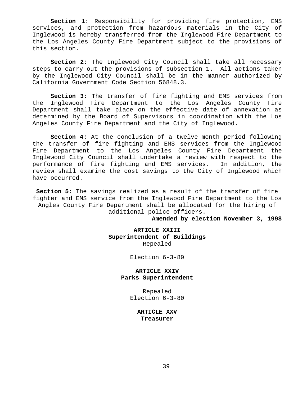**Section 1:** Responsibility for providing fire protection, EMS services, and protection from hazardous materials in the City of Inglewood is hereby transferred from the Inglewood Fire Department to the Los Angeles County Fire Department subject to the provisions of this section.

**Section 2:** The Inglewood City Council shall take all necessary steps to carry out the provisions of subsection 1. All actions taken by the Inglewood City Council shall be in the manner authorized by California Government Code Section 56848.3.

**Section 3:** The transfer of fire fighting and EMS services from the Inglewood Fire Department to the Los Angeles County Fire Department shall take place on the effective date of annexation as determined by the Board of Supervisors in coordination with the Los Angeles County Fire Department and the City of Inglewood.

**Section 4:** At the conclusion of a twelve-month period following the transfer of fire fighting and EMS services from the Inglewood Fire Department to the Los Angeles County Fire Department the Inglewood City Council shall undertake a review with respect to the performance of fire fighting and EMS services. In addition, the review shall examine the cost savings to the City of Inglewood which have occurred.

**Section 5:** The savings realized as a result of the transfer of fire fighter and EMS service from the Inglewood Fire Department to the Los Angles County Fire Department shall be allocated for the hiring of additional police officers.

**Amended by election November 3, 1998**

# **ARTICLE XXIII Superintendent of Buildings** Repealed

Election 6-3-80

**ARTICLE XXIV Parks Superintendent**

> Repealed Election 6-3-80

> > **ARTICLE XXV Treasurer**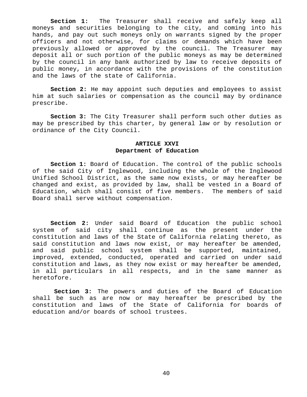**Section 1:** The Treasurer shall receive and safely keep all moneys and securities belonging to the city, and coming into his hands, and pay out such moneys only on warrants signed by the proper officers and not otherwise, for claims or demands which have been previously allowed or approved by the council. The Treasurer may deposit all or such portion of the public moneys as may be determined by the council in any bank authorized by law to receive deposits of public money, in accordance with the provisions of the constitution and the laws of the state of California.

**Section 2:** He may appoint such deputies and employees to assist him at such salaries or compensation as the council may by ordinance prescribe.

**Section 3:** The City Treasurer shall perform such other duties as may be prescribed by this charter, by general law or by resolution or ordinance of the City Council.

#### **ARTICLE XXVI Department of Education**

**Section 1:** Board of Education. The control of the public schools of the said City of Inglewood, including the whole of the Inglewood Unified School District, as the same now exists, or may hereafter be changed and exist, as provided by law, shall be vested in a Board of Education, which shall consist of five members. The members of said Board shall serve without compensation.

**Section 2:** Under said Board of Education the public school system of said city shall continue as the present under the constitution and laws of the State of California relating thereto, as said constitution and laws now exist, or may hereafter be amended, and said public school system shall be supported, maintained, improved, extended, conducted, operated and carried on under said constitution and laws, as they now exist or may hereafter be amended, in all particulars in all respects, and in the same manner as heretofore.

**Section 3:** The powers and duties of the Board of Education shall be such as are now or may hereafter be prescribed by the constitution and laws of the State of California for boards of education and/or boards of school trustees.

40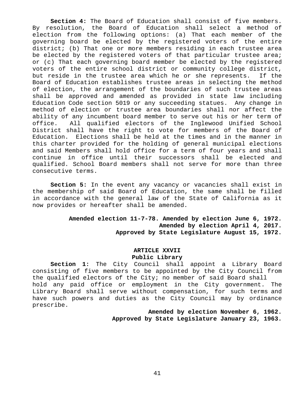**Section 4:** The Board of Education shall consist of five members. By resolution, the Board of Education shall select a method of election from the following options: (a) That each member of the governing board be elected by the registered voters of the entire district; (b) That one or more members residing in each trustee area be elected by the registered voters of that particular trustee area; or (c) That each governing board member be elected by the registered voters of the entire school district or community college district, but reside in the trustee area which he or she represents. If the Board of Education establishes trustee areas in selecting the method of election, the arrangement of the boundaries of such trustee areas shall be approved and amended as provided in state law including Education Code section 5019 or any succeeding statues. Any change in method of election or trustee area boundaries shall nor affect the ability of any incumbent board member to serve out his or her term of office. All qualified electors of the Inglewood Unified School District shall have the right to vote for members of the Board of Education. Elections shall be held at the times and in the manner in this charter provided for the holding of general municipal elections and said Members shall hold office for a term of four years and shall continue in office until their successors shall be elected and qualified. School Board members shall not serve for more than three consecutive terms.

**Section 5:** In the event any vacancy or vacancies shall exist in the membership of said Board of Education, the same shall be filled in accordance with the general law of the State of California as it now provides or hereafter shall be amended.

> **Amended election 11-7-78. Amended by election June 6, 1972. Amended by election April 4, 2017. Approved by State Legislature August 15, 1972.**

# **ARTICLE XXVII Public Library**

**Section 1:** The City Council shall appoint a Library Board consisting of five members to be appointed by the City Council from the qualified electors of the City; no member of said Board shall hold any paid office or employment in the City government. The Library Board shall serve without compensation, for such terms and have such powers and duties as the City Council may by ordinance prescribe.

> **Amended by election November 6, 1962. Approved by State Legislature January 23, 1963.**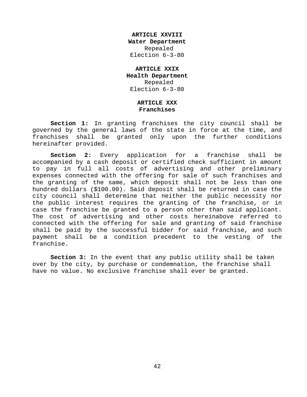**ARTICLE XXVIII Water Department** Repealed Election 6-3-80

### **ARTICLE XXIX Health Department** Repealed Election 6-3-80

#### **ARTICLE XXX Franchises**

**Section 1:** In granting franchises the city council shall be governed by the general laws of the state in force at the time, and franchises shall be granted only upon the further conditions hereinafter provided.

**Section 2:** Every application for a franchise shall be accompanied by a cash deposit or certified check sufficient in amount to pay in full all costs of advertising and other preliminary expenses connected with the offering for sale of such franchises and the granting of the same, which deposit shall not be less than one hundred dollars (\$100.00). Said deposit shall be returned in case the city council shall determine that neither the public necessity nor the public interest requires the granting of the franchise, or in case the franchise be granted to a person other than said applicant. The cost of advertising and other costs hereinabove referred to connected with the offering for sale and granting of said franchise shall be paid by the successful bidder for said franchise, and such payment shall be a condition precedent to the vesting of the franchise.

**Section 3:** In the event that any public utility shall be taken over by the city, by purchase or condemnation, the franchise shall have no value. No exclusive franchise shall ever be granted.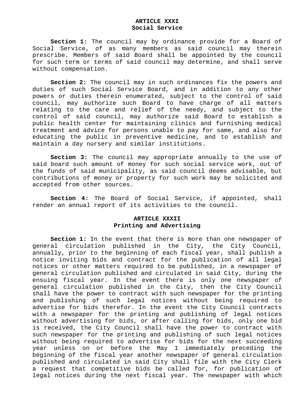#### **ARTICLE XXXI Social Service**

**Section 1:** The council may by ordinance provide for a Board of Social Service, of as many members as said council may therein prescribe. Members of said Board shall be appointed by the council for such term or terms of said council may determine, and shall serve without compensation.

**Section 2:** The council may in such ordinances fix the powers and duties of such Social Service Board, and in addition to any other powers or duties therein enumerated, subject to the control of said council, may authorize such Board to have charge of all matters relating to the care and relief of the needy, and subject to the control of said council, may authorize said Board to establish a public health center for maintaining clinics and furnishing medical treatment and advice for persons unable to pay for same, and also for educating the public in preventive medicine, and to establish and maintain a day nursery and similar institutions.

**Section 3:** The council may appropriate annually to the use of said board such amount of money for such social service work, out of the funds of said municipality, as said council deems advisable, but contributions of money or property for such work may be solicited and accepted from other sources.

**Section 4:** The Board of Social Service, if appointed, shall render an annual report of its activities to the council.

#### **ARTICLE XXXII Printing and Advertising**

**Section 1:** In the event that there is more than one newspaper of general circulation published in the City, the City Council, annually, prior to the beginning of each fiscal year, shall publish a notice inviting bids and contract for the publication of all legal notices or other matters required to be published, in a newspaper of general circulation published and circulated in said City, during the ensuing fiscal year. In the event there is only one newspaper of general circulation published in the City, then the City Council shall have the power to contract with such newspaper for the printing and publishing of such legal notices without being required to advertise for bids therefor. In the event the City Council contracts with a newspaper for the printing and publishing of legal notices without advertising for bids, or after calling for bids, only one bid is received, the City Council shall have the power to contract with such newspaper for the printing and publishing of such legal notices without being required to advertise for bids for the next succeeding year unless on or before the May 1 immediately preceding the beginning of the fiscal year another newspaper of general circulation published and circulated in said City shall file with the City Clerk a request that competitive bids be called for, for publication of legal notices during the next fiscal year. The newspaper with which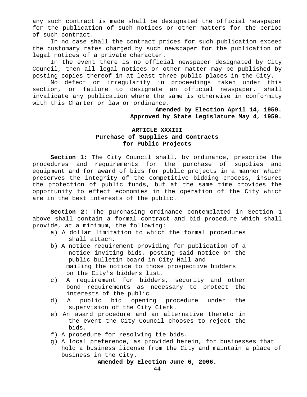any such contract is made shall be designated the official newspaper for the publication of such notices or other matters for the period of such contract.

In no case shall the contract prices for such publication exceed the customary rates charged by such newspaper for the publication of legal notices of a private character.

In the event there is no official newspaper designated by City Council, then all legal notices or other matter may be published by posting copies thereof in at least three public places in the City.

No defect or irregularity in proceedings taken under this section, or failure to designate an official newspaper, shall invalidate any publication where the same is otherwise in conformity with this Charter or law or ordinance.

> **Amended by Election April 14, 1959. Approved by State Legislature May 4, 1959.**

# **ARTICLE XXXIII Purchase of Supplies and Contracts for Public Projects**

**Section 1:** The City Council shall, by ordinance, prescribe the procedures and requirements for the purchase of supplies and equipment and for award of bids for public projects in a manner which preserves the integrity of the competitive bidding process, insures the protection of public funds, but at the same time provides the opportunity to effect economies in the operation of the City which are in the best interests of the public.

**Section 2:** The purchasing ordinance contemplated in Section 1 above shall contain a formal contract and bid procedure which shall provide, at a minimum, the following:

- a) A dollar limitation to which the formal procedures shall attach.
- b) A notice requirement providing for publication of a notice inviting bids, posting said notice on the public bulletin board in City Hall and mailing the notice to those prospective bidders on the City's bidders list.
- c) A requirement for bidders, security and other bond requirements as necessary to protect the interests of the public.
- d) A public bid opening procedure under the supervision of the City Clerk.
- e) An award procedure and an alternative thereto in the event the City Council chooses to reject the bids.
- f) A procedure for resolving tie bids.
- g) A local preference, as provided herein, for businesses that hold a business license from the City and maintain a place of business in the City.

**Amended by Election June 6, 2006.**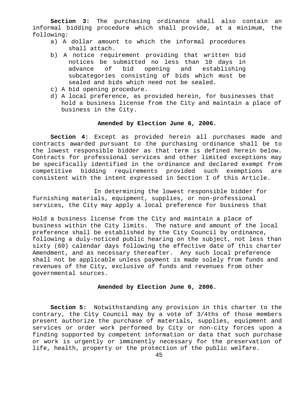**Section 3:** The purchasing ordinance shall also contain an informal bidding procedure which shall provide, at a minimum, the following:

- a) A dollar amount to which the informal procedures shall attach.
- b) A notice requirement providing that written bid notices be submitted no less than 10 days in advance of bid opening and establishing subcategories consisting of bids which must be sealed and bids which need not be sealed.
- c) A bid opening procedure.
- d) A local preference, as provided herein, for businesses that hold a business license from the City and maintain a place of business in the City.

#### **Amended by Election June 6, 2006.**

**Section 4:** Except as provided herein all purchases made and contracts awarded pursuant to the purchasing ordinance shall be to the lowest responsible bidder as that term is defined herein below. Contracts for professional services and other limited exceptions may be specifically identified in the ordinance and declared exempt from competitive bidding requirements provided such exemptions are consistent with the intent expressed in Section I of this Article.

 In determining the lowest responsible bidder for furnishing materials, equipment, supplies, or non-professional services, the City may apply a local preference for business that

Hold a business license from the City and maintain a place of business within the City limits. The nature and amount of the local preference shall be established by the City Council by ordinance, following a duly-noticed public hearing on the subject, not less than sixty (60) calendar days following the effective date of this charter Amendment, and as necessary thereafter. Any such local preference shall not be applicable unless payment is made solely from funds and revenues of the City, exclusive of funds and revenues from other governmental sources.

#### **Amended by Election June 6, 2006.**

**Section 5:** Notwithstanding any provision in this charter to the contrary, the City Council may by a vote of 3/4ths of those members present authorize the purchase of materials, supplies, equipment and services or order work performed by City or non-city forces upon a finding supported by competent information or data that such purchase or work is urgently or imminently necessary for the preservation of life, health, property or the protection of the public welfare.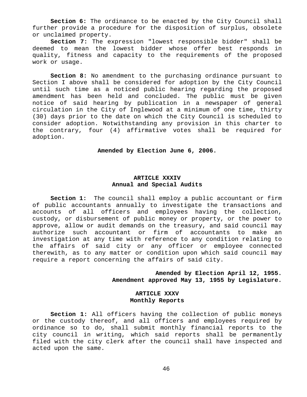**Section 6:** The ordinance to be enacted by the City Council shall further provide a procedure for the disposition of surplus, obsolete or unclaimed property.

**Section 7:** The expression "lowest responsible bidder" shall be deemed to mean the lowest bidder whose offer best responds in quality, fitness and capacity to the requirements of the proposed work or usage.

**Section 8:** No amendment to the purchasing ordinance pursuant to Section I above shall be considered for adoption by the City Council until such time as a noticed public hearing regarding the proposed amendment has been held and concluded. The public must be given notice of said hearing by publication in a newspaper of general circulation in the City of Inglewood at a minimum of one time, thirty (30) days prior to the date on which the City Council is scheduled to consider adoption. Notwithstanding any provision in this charter to the contrary, four (4) affirmative votes shall be required for adoption.

**Amended by Election June 6, 2006.**

#### **ARTICLE XXXIV Annual and Special Audits**

**Section 1:** The council shall employ a public accountant or firm of public accountants annually to investigate the transactions and accounts of all officers and employees having the collection, custody, or disbursement of public money or property, or the power to approve, allow or audit demands on the treasury, and said council may authorize such accountant or firm of accountants to make an investigation at any time with reference to any condition relating to the affairs of said city or any officer or employee connected therewith, as to any matter or condition upon which said council may require a report concerning the affairs of said city.

> **Amended by Election April 12, 1955. Amendment approved May 13, 1955 by Legislature.**

#### **ARTICLE XXXV Monthly Reports**

**Section 1:** All officers having the collection of public moneys or the custody thereof, and all officers and employees required by ordinance so to do, shall submit monthly financial reports to the city council in writing, which said reports shall be permanently filed with the city clerk after the council shall have inspected and acted upon the same.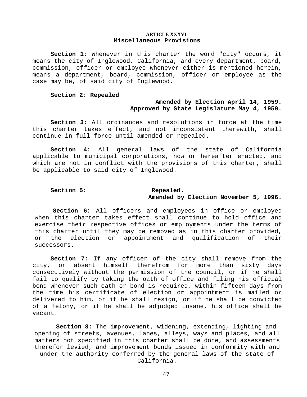#### **ARTICLE XXXVI Miscellaneous Provisions**

**Section 1:** Whenever in this charter the word "city" occurs, it means the city of Inglewood, California, and every department, board, commission, officer or employee whenever either is mentioned herein, means a department, board, commission, officer or employee as the case may be, of said city of Inglewood.

#### **Section 2: Repealed**

### **Amended by Election April 14, 1959. Approved by State Legislature May 4, 1959.**

**Section 3:** All ordinances and resolutions in force at the time this charter takes effect, and not inconsistent therewith, shall continue in full force until amended or repealed.

**Section 4:** All general laws of the state of California applicable to municipal corporations, now or hereafter enacted, and which are not in conflict with the provisions of this charter, shall be applicable to said city of Inglewood.

#### Section 5: Repealed. **Amended by Election November 5, 1996.**

**Section 6:** All officers and employees in office or employed when this charter takes effect shall continue to hold office and exercise their respective offices or employments under the terms of this charter until they may be removed as in this charter provided, or the election or appointment and qualification of their successors.

**Section 7:** If any officer of the city shall remove from the city, or absent himself therefrom for more than sixty days consecutively without the permission of the council, or if he shall fail to qualify by taking the oath of office and filing his official bond whenever such oath or bond is required, within fifteen days from the time his certificate of election or appointment is mailed or delivered to him, or if he shall resign, or if he shall be convicted of a felony, or if he shall be adjudged insane, his office shall be vacant.

**Section 8:** The improvement, widening, extending, lighting and opening of streets, avenues, lanes, alleys, ways and places, and all matters not specified in this charter shall be done, and assessments therefor levied, and improvement bonds issued in conformity with and under the authority conferred by the general laws of the state of California.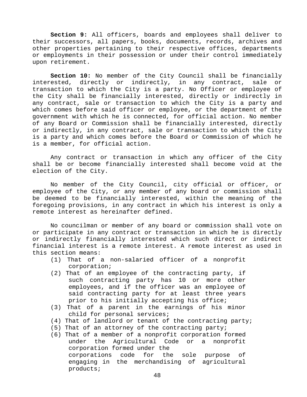**Section 9:** All officers, boards and employees shall deliver to their successors, all papers, books, documents, records, archives and other properties pertaining to their respective offices, departments or employments in their possession or under their control immediately upon retirement.

**Section 10:** No member of the City Council shall be financially interested, directly or indirectly, in any contract, sale or transaction to which the City is a party. No Officer or employee of the City shall be financially interested, directly or indirectly in any contract, sale or transaction to which the City is a party and which comes before said officer or employee, or the department of the government with which he is connected, for official action. No member of any Board or Commission shall be financially interested, directly or indirectly, in any contract, sale or transaction to which the City is a party and which comes before the Board or Commission of which he is a member, for official action.

Any contract or transaction in which any officer of the City shall be or become financially interested shall become void at the election of the City.

No member of the City Council, city official or officer, or employee of the City, or any member of any board or commission shall be deemed to be financially interested, within the meaning of the foregoing provisions, in any contract in which his interest is only a remote interest as hereinafter defined.

No councilman or member of any board or commission shall vote on or participate in any contract or transaction in which he is directly or indirectly financially interested which such direct or indirect financial interest is a remote interest. A remote interest as used in this section means:

- (1) That of a non-salaried officer of a nonprofit corporation;
- (2) That of an employee of the contracting party, if such contracting party has 10 or more other employees, and if the officer was an employee of said contracting party for at least three years prior to his initially accepting his office;
- (3) That of a parent in the earnings of his minor child for personal services;
- (4) That of landlord or tenant of the contracting party;
- (5) That of an attorney of the contracting party;
- (6) That of a member of a nonprofit corporation formed under the Agricultural Code or a nonprofit corporation formed under the corporations code for the sole purpose of engaging in the merchandising of agricultural products;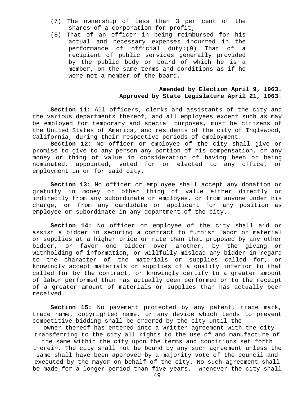- (7) The ownership of less than 3 per cent of the shares of a corporation for profit;
- (8) That of an officer in being reimbursed for his actual and necessary expenses incurred in the performance of official duty;(9) That of a recipient of public services generally provided by the public body or board of which he is a member, on the same terms and conditions as if he were not a member of the board.

#### **Amended by Election April 9, 1963. Approved by State Legislature April 21, 1963**.

**Section 11:** All officers, clerks and assistants of the city and the various departments thereof, and all employees except such as may be employed for temporary and special purposes, must be citizens of the United States of America, and residents of the city of Inglewood, California, during their respective periods of employment.

**Section 12:** No officer or employee of the city shall give or promise to give to any person any portion of his compensation, or any money or thing of value in consideration of having been or being nominated, appointed, voted for or elected to any office, or employment in or for said city.

**Section 13:** No officer or employee shall accept any donation or gratuity in money or other thing of value either directly or indirectly from any subordinate or employee, or from anyone under his charge, or from any candidate or applicant for any position as employee or subordinate in any department of the city.

**Section 14:** No officer or employee of the city shall aid or assist a bidder in securing a contract to furnish labor or material or supplies at a higher price or rate than that proposed by any other bidder, or favor one bidder over another, by the giving or withholding of information, or willfully mislead any bidder in regard to the character of the materials or supplies called for, or knowingly accept materials or supplies of a quality inferior to that called for by the contract, or knowingly certify to a greater amount of labor performed than has actually been performed or to the receipt of a greater amount of materials or supplies than has actually been received.

**Section 15:** No pavement protected by any patent, trade mark, trade name, copyrighted name, or any device which tends to prevent competitive bidding shall be ordered by the city until the

 owner thereof has entered into a written agreement with the city transferring to the city all rights to the use of and manufacture of

the same within the city upon the terms and conditions set forth therein. The city shall not be bound by any such agreement unless the same shall have been approved by a majority vote of the council and executed by the mayor on behalf of the city. No such agreement shall be made for a longer period than five years. Whenever the city shall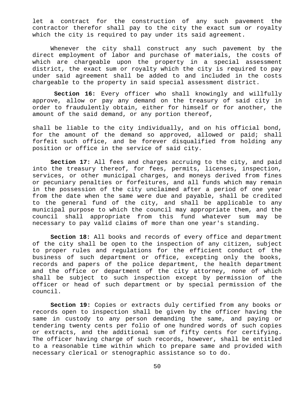let a contract for the construction of any such pavement the contractor therefor shall pay to the city the exact sum or royalty which the city is required to pay under its said agreement.

Whenever the city shall construct any such pavement by the direct employment of labor and purchase of materials, the costs of which are chargeable upon the property in a special assessment district, the exact sum or royalty which the city is required to pay under said agreement shall be added to and included in the costs chargeable to the property in said special assessment district.

**Section 16:** Every officer who shall knowingly and willfully approve, allow or pay any demand on the treasury of said city in order to fraudulently obtain, either for himself or for another, the amount of the said demand, or any portion thereof,

shall be liable to the city individually, and on his official bond, for the amount of the demand so approved, allowed or paid; shall forfeit such office, and be forever disqualified from holding any position or office in the service of said city.

**Section 17:** All fees and charges accruing to the city, and paid into the treasury thereof, for fees, permits, licenses, inspection, services, or other municipal charges, and moneys derived from fines or pecuniary penalties or forfeitures, and all funds which may remain in the possession of the city unclaimed after a period of one year from the date when the same were due and payable, shall be credited to the general fund of the city, and shall be applicable to any municipal purpose to which the council may appropriate them, and the council shall appropriate from this fund whatever sum may be necessary to pay valid claims of more than one year's standing.

**Section 18:** All books and records of every office and department of the city shall be open to the inspection of any citizen, subject to proper rules and regulations for the efficient conduct of the business of such department or office, excepting only the books, records and papers of the police department, the health department and the office or department of the city attorney, none of which shall be subject to such inspection except by permission of the officer or head of such department or by special permission of the council.

**Section 19:** Copies or extracts duly certified from any books or records open to inspection shall be given by the officer having the same in custody to any person demanding the same, and paying or tendering twenty cents per folio of one hundred words of such copies or extracts, and the additional sum of fifty cents for certifying. The officer having charge of such records, however, shall be entitled to a reasonable time within which to prepare same and provided with necessary clerical or stenographic assistance so to do.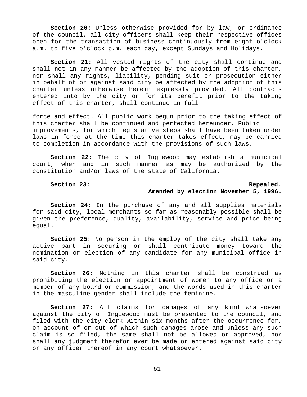**Section 20:** Unless otherwise provided for by law, or ordinance of the council, all city officers shall keep their respective offices open for the transaction of business continuously from eight o'clock a.m. to five o'clock p.m. each day, except Sundays and Holidays.

**Section 21:** All vested rights of the city shall continue and shall not in any manner be affected by the adoption of this charter, nor shall any rights, liability, pending suit or prosecution either in behalf of or against said city be affected by the adoption of this charter unless otherwise herein expressly provided. All contracts entered into by the city or for its benefit prior to the taking effect of this charter, shall continue in full

force and effect. All public work begun prior to the taking effect of this charter shall be continued and perfected hereunder. Public improvements, for which legislative steps shall have been taken under laws in force at the time this charter takes effect, may be carried to completion in accordance with the provisions of such laws.

**Section 22:** The city of Inglewood may establish a municipal court, when and in such manner as may be authorized by the constitution and/or laws of the state of California.

# Section 23: **Repealed.**

#### **Amended by election November 5, 1996.**

**Section 24:** In the purchase of any and all supplies materials for said city, local merchants so far as reasonably possible shall be given the preference, quality, availability, service and price being equal.

**Section 25:** No person in the employ of the city shall take any active part in securing or shall contribute money toward the nomination or election of any candidate for any municipal office in said city.

**Section 26:** Nothing in this charter shall be construed as prohibiting the election or appointment of women to any office or a member of any board or commission, and the words used in this charter in the masculine gender shall include the feminine.

**Section 27:** All claims for damages of any kind whatsoever against the city of Inglewood must be presented to the council, and filed with the city clerk within six months after the occurrence for, on account of or out of which such damages arose and unless any such claim is so filed, the same shall not be allowed or approved, nor shall any judgment therefor ever be made or entered against said city or any officer thereof in any court whatsoever.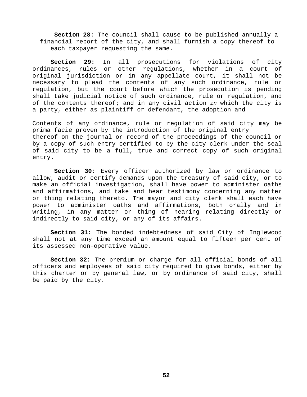**Section 28**: The council shall cause to be published annually a financial report of the city, and shall furnish a copy thereof to each taxpayer requesting the same.

**Section 29:** In all prosecutions for violations of city ordinances, rules or other regulations, whether in a court of original jurisdiction or in any appellate court, it shall not be necessary to plead the contents of any such ordinance, rule or regulation, but the court before which the prosecution is pending shall take judicial notice of such ordinance, rule or regulation, and of the contents thereof; and in any civil action *in* which the city is a party, either as plaintiff or defendant, the adoption and

Contents of any ordinance, rule or regulation of said city may be prima facie proven by the introduction of the original entry thereof on the journal or record of the proceedings of the council or by a copy of such entry certified to by the city clerk under the seal of said city to be a full, true and correct copy of such original entry.

**Section 30:** Every officer authorized by law or ordinance to allow, audit or certify demands upon the treasury of said city, or to make an official investigation, shall have power to administer oaths and affirmations, and take and hear testimony concerning any matter or thing relating thereto. The mayor and city clerk shall each have power to administer oaths and affirmations, both orally and in writing, in any matter or thing of hearing relating directly or indirectly to said city, or any of its affairs.

**Section 31:** The bonded indebtedness of said City of Inglewood shall not at any time exceed an amount equal to fifteen per cent of its assessed non-operative value.

**Section 32:** The premium or charge for all official bonds of all officers and employees of said city required to give bonds, either by this charter or by general law, or by ordinance of said city, shall be paid by the city.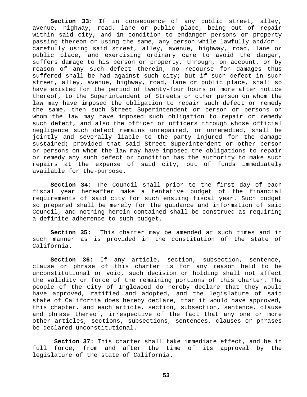**Section 33:** If in consequence of any public street, alley, avenue, highway, road, lane or public place, being out of repair within said city, and in condition to endanger persons or property passing thereon or using the same, any person while lawfully and/or carefully using said street, alley, avenue, highway, road, lane or public place, and exercising ordinary care to avoid the danger, suffers damage to his person or property, through, on account, or by reason of any such defect therein, no recourse for damages thus suffered shall be had against such city; but if such defect in such street, alley, avenue, highway, road, lane or public place, shall so have existed for the period of twenty-four hours or more after notice thereof, to the Superintendent of Streets or other person on whom the law may have imposed the obligation to repair such defect or remedy the same, then such Street Superintendent or person or persons on whom the law may have imposed such obligation to repair or remedy such defect, and also the officer or officers through whose official negligence such defect remains unrepaired, or unremedied, shall be jointly and severally liable to the party injured for the damage sustained; provided that said Street Superintendent or other person or persons on whom the law may have imposed the obligations to repair or remedy any such defect or condition has the authority to make such repairs at the expense of said city, out of funds immediately available for the-purpose.

**Section 34**: The Council shall prior to the first day of each fiscal year hereafter make a tentative budget of the financial requirements of said city for such ensuing fiscal year. Such budget so prepared shall be merely for the guidance and information of said Council, and nothing herein contained shall be construed as requiring a definite adherence to such budget.

**Section 35:** This charter may be amended at such times and in such manner as is provided in the constitution of the state of California.

**Section 36:** If any article, section, subsection, sentence, clause or phrase of this charter is for any reason held to be unconstitutional or void, such decision or holding shall not affect the validity or force of the remaining portions of this charter. The people of the City of Inglewood do hereby declare that they would have approved, ratified and adopted, and the legislature of said state of California does hereby declare, that it would have approved, this chapter, and each article, section, subsection, sentence, clause and phrase thereof, irrespective of the fact that any one or more other articles, sections, subsections, sentences, clauses or phrases be declared unconstitutional.

**Section 37:** This charter shall take immediate effect, and be in full force, from and after the time of its approval by the legislature of the state of California.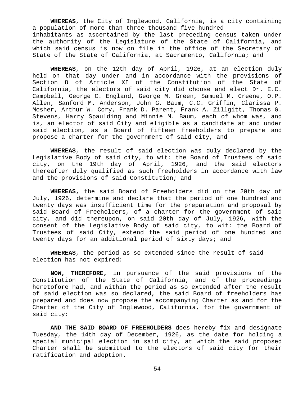**WHEREAS**, the City of Inglewood, California, is a city containing a population of more than three thousand five hundred inhabitants as ascertained by the last preceding census taken under the authority of the Legislature of the State of California, and which said census is now on file in the office of the Secretary of State of the State of California, at Sacramento, California; and

**WHEREAS**, on the 12th day of April, 1926, at an election duly held on that day under and in accordance with the provisions of Section 8 of Article XI of the Constitution of the State of California, the electors of said city did choose and elect Dr. E.C. Campbell, George C. England, George M. Green, Samuel M. Greene, O.P. Allen, Sanford M. Anderson, John G. Baum, C.C. Griffin, Clarissa P. Mosher, Arthur W. Cory, Frank D. Parent, Frank A. Zillgitt, Thomas G. Stevens, Harry Spaulding and Minnie M. Baum, each of whom was, and is, an elector of said City and eligible as a candidate at and under said election, as a Board of fifteen freeholders to prepare and propose a charter for the government of said city, and

**WHEREAS**, the result of said election was duly declared by the Legislative Body of said city, to wit: the Board of Trustees of said city, on the 19th day of April, 1926, and the said electors thereafter duly qualified as such freeholders in accordance with law and the provisions of said Constitution; and

**WHEREAS,** the said Board of Freeholders did on the 20th day of July, 1926, determine and declare that the period of one hundred and twenty days was insufficient time for the preparation and proposal by said Board of Freeholders, of a charter for the government of said city, and did thereupon, on said 20th day of July, 1926, with the consent of the Legislative Body of said city, to wit: the Board of Trustees of said City, extend the said period of one hundred and twenty days for an additional period of sixty days; and

**WHEREAS**, the period as so extended since the result of said election has not expired:

**NOW, THEREFORE,** in pursuance of the said provisions of the Constitution of the State of California, and of the proceedings heretofore had, and within the period as so extended after the result of said election was so declared, the said Board of freeholders has prepared and does now propose the accompanying Charter as and for the Charter of the City of Inglewood, California, for the government of said city:

**AND THE SAID BOARD OF FREEHOLDERS** does hereby fix and designate Tuesday, the 14th day of December, 1926, as the date for holding a special municipal election in said city, at which the said proposed Charter shall be submitted to the electors of said city for their ratification and adoption.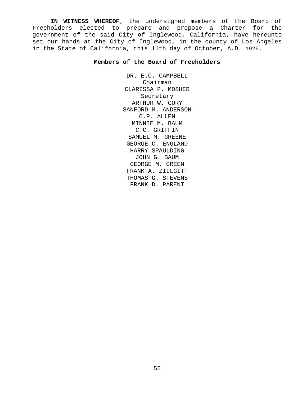**IN WITNESS WHEREOF**, the undersigned members of the Board of Freeholders elected to prepare and propose a Charter for the government of the said City of Inglewood, California, have hereunto set our hands at the City of Inglewood, in the county of Los Angeles in the State of California, this 11th day of October, A.D. 1926.

#### **Members of the Board of Freeholders**

DR. E.O. CAMPBELL Chairman CLARISSA P. MOSHER Secretary ARTHUR W. CORY SANFORD M. ANDERSON O.P. ALLEN MINNIE M. BAUM C.C. GRIFFIN SAMUEL M. GREENE GEORGE C. ENGLAND HARRY SPAULDING JOHN G. BAUM GEORGE M. GREEN FRANK A. ZILLGITT THOMAS G. STEVENS FRANK D. PARENT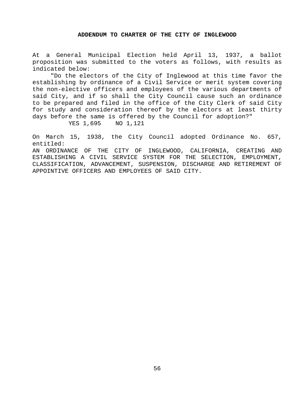#### **ADDENDUM TO CHARTER OF THE CITY OF INGLEWOOD**

At a General Municipal Election held April 13, 1937, a ballot proposition was submitted to the voters as follows, with results as indicated below:

"Do the electors of the City of Inglewood at this time favor the establishing by ordinance of a Civil Service or merit system covering the non-elective officers and employees of the various departments of said City, and if so shall the City Council cause such an ordinance to be prepared and filed in the office of the City Clerk of said City for study and consideration thereof by the electors at least thirty days before the same is offered by the Council for adoption?"

YES 1,695 NO 1,121

On March 15, 1938, the City Council adopted Ordinance No. 657, entitled:

AN ORDINANCE OF THE CITY OF INGLEWOOD, CALIFORNIA, CREATING AND ESTABLISHING A CIVIL SERVICE SYSTEM FOR THE SELECTION, EMPLOYMENT, CLASSIFICATION, ADVANCEMENT, SUSPENSION, DISCHARGE AND RETIREMENT OF APPOINTIVE OFFICERS AND EMPLOYEES OF SAID CITY.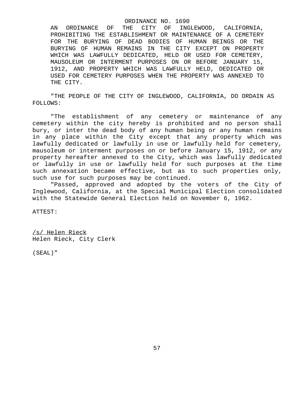#### ORDINANCE NO. 1690

AN ORDINANCE OF THE CITY OF INGLEWOOD, CALIFORNIA, PROHIBITING THE ESTABLISHMENT OR MAINTENANCE OF A CEMETERY FOR THE BURYING OF DEAD BODIES OF HUMAN BEINGS OR THE BURYING OF HUMAN REMAINS IN THE CITY EXCEPT ON PROPERTY WHICH WAS LAWFULLY DEDICATED, HELD OR USED FOR CEMETERY, MAUSOLEUM OR INTERMENT PURPOSES ON OR BEFORE JANUARY 15, 1912, AND PROPERTY WHICH WAS LAWFULLY HELD, DEDICATED OR USED FOR CEMETERY PURPOSES WHEN THE PROPERTY WAS ANNEXED TO THE CITY.

"THE PEOPLE OF THE CITY OF INGLEWOOD, CALIFORNIA, DO ORDAIN AS FOLLOWS:

"The establishment of any cemetery or maintenance of any cemetery within the city hereby is prohibited and no person shall bury, or inter the dead body of any human being or any human remains in any place within the City except that any property which was lawfully dedicated or lawfully in use or lawfully held for cemetery, mausoleum or interment purposes on or before January 15, 1912, or any property hereafter annexed to the City, which was lawfully dedicated or lawfully in use or lawfully held for such purposes at the time such annexation became effective, but as to such properties only, such use for such purposes may be continued.

"Passed, approved and adopted by the voters of the City of Inglewood, California, at the Special Municipal Election consolidated with the Statewide General Election held on November 6, 1962.

ATTEST:

/s/ Helen Rieck Helen Rieck, City Clerk

(SEAL)"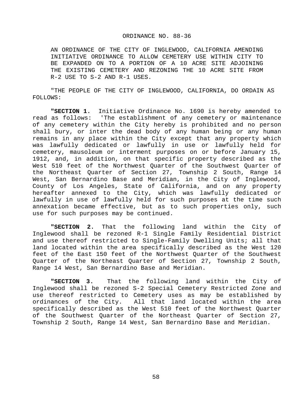#### ORDINANCE NO. 88-36

AN ORDINANCE OF THE CITY OF INGLEWOOD, CALIFORNIA AMENDING INITIATIVE ORDINANCE TO ALLOW CEMETERY USE WITHIN CITY TO BE EXPANDED ON TO A PORTION OF A 10 ACRE SITE ADJOINING THE EXISTING CEMETERY AND REZONING THE 10 ACRE SITE FROM R-2 USE TO S-2 AND R-1 USES.

"THE PEOPLE OF THE CITY OF INGLEWOOD, CALIFORNIA, DO ORDAIN AS FOLLOWS:

**"SECTION 1.** Initiative Ordinance No. 1690 is hereby amended to read as follows: 'The establishment of any cemetery or maintenance of any cemetery within the City hereby is prohibited and no person shall bury, or inter the dead body of any human being or any human remains in any place within the City except that any property which was lawfully dedicated or lawfully in use or lawfully held for cemetery, mausoleum or interment purposes on or before January 15, 1912, and, in addition, on that specific property described as the West 510 feet of the Northwest Quarter of the Southwest Quarter of the Northeast Quarter of Section 27, Township 2 South, Range 14 West, San Bernardino Base and Meridian, in the City of Inglewood, County of Los Angeles, State of California, and on any property hereafter annexed to the City, which was lawfully dedicated or lawfully in use of lawfully held for such purposes at the time such annexation became effective, but as to such properties only, such use for such purposes may be continued.

**"SECTION 2.** That the following land within the City of Inglewood shall be rezoned R-1 Single Family Residential District and use thereof restricted to Single-Family Dwelling Units; all that land located within the area specifically described as the West 120 feet of the East 150 feet of the Northwest Quarter of the Southwest Quarter of the Northeast Quarter of Section 27, Township 2 South, Range 14 West, San Bernardino Base and Meridian.

**"SECTION 3.** That the following land within the City of Inglewood shall be rezoned S-2 Special Cemetery Restricted Zone and use thereof restricted to Cemetery uses as may be established by ordinances of the City. All that land located within the area specifically described as the West 510 feet of the Northwest Quarter of the Southwest Quarter of the Northeast Quarter of Section 27, Township 2 South, Range 14 West, San Bernardino Base and Meridian.

58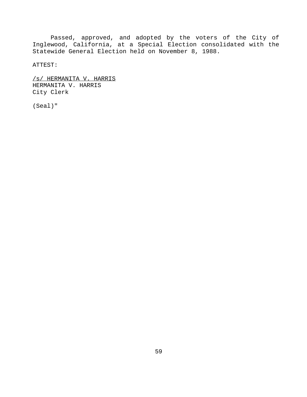Passed, approved, and adopted by the voters of the City of Inglewood, California, at a Special Election consolidated with the Statewide General Election held on November 8, 1988.

ATTEST:

/s/ HERMANITA V. HARRIS HERMANITA V. HARRIS City Clerk

(Seal)"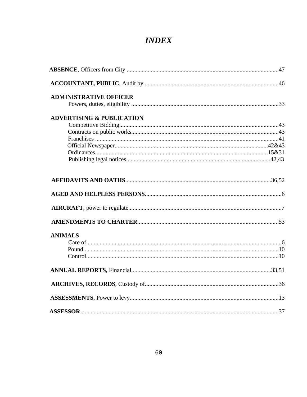# **INDEX**

| <b>ADMINISTRATIVE OFFICER</b>        |  |
|--------------------------------------|--|
|                                      |  |
| <b>ADVERTISING &amp; PUBLICATION</b> |  |
|                                      |  |
|                                      |  |
|                                      |  |
|                                      |  |
|                                      |  |
|                                      |  |
|                                      |  |
|                                      |  |
|                                      |  |
|                                      |  |
| <b>ANIMALS</b>                       |  |
|                                      |  |
|                                      |  |
|                                      |  |
|                                      |  |
|                                      |  |
|                                      |  |
|                                      |  |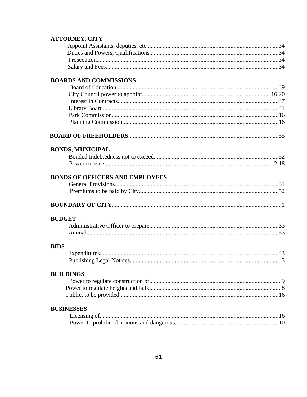### **ATTORNEY, CITY**

# **BOARDS AND COMMISSIONS**

# 

# **BONDS, MUNICIPAL**

# **BONDS OF OFFICERS AND EMPLOYEES**

# 

# **BUDGET**

#### **BIDS**

# **BUILDINGS**

### **BUSINESSES**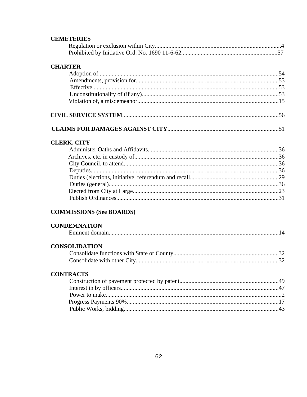### **CEMETERIES**

## **CHARTER**

# 

# **CLERK, CITY**

# **COMMISSIONS (See BOARDS)**

## **CONDEMNATION**

|--|

# **CONSOLIDATION**

# **CONTRACTS**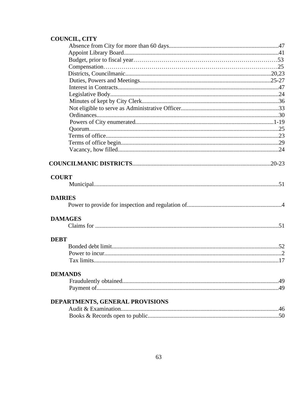# COUNCIL, CITY

| <b>COURT</b>                    |  |
|---------------------------------|--|
|                                 |  |
|                                 |  |
| <b>DAIRIES</b>                  |  |
|                                 |  |
|                                 |  |
| <b>DAMAGES</b>                  |  |
|                                 |  |
|                                 |  |
| <b>DEBT</b>                     |  |
|                                 |  |
|                                 |  |
|                                 |  |
|                                 |  |
| <b>DEMANDS</b>                  |  |
|                                 |  |
|                                 |  |
|                                 |  |
| DEPARTMENTS, GENERAL PROVISIONS |  |
|                                 |  |
|                                 |  |
|                                 |  |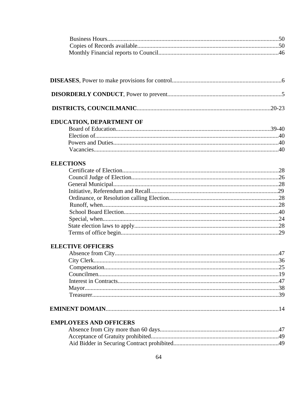# EDUCATION, DEPARTMENT OF

# **ELECTIONS**

# **ELECTIVE OFFICERS**

|--|--|--|

# **EMPLOYEES AND OFFICERS**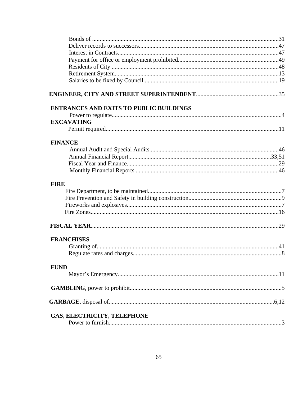| <b>ENTRANCES AND EXITS TO PUBLIC BUILDINGS</b> |  |
|------------------------------------------------|--|
|                                                |  |
| <b>EXCAVATING</b>                              |  |
|                                                |  |
| <b>FINANCE</b>                                 |  |
|                                                |  |
|                                                |  |
|                                                |  |
|                                                |  |
| <b>FIRE</b>                                    |  |
|                                                |  |
|                                                |  |
|                                                |  |
|                                                |  |
|                                                |  |
| <b>FRANCHISES</b>                              |  |
|                                                |  |
|                                                |  |
|                                                |  |
| <b>FUND</b>                                    |  |
|                                                |  |
|                                                |  |
|                                                |  |
| <b>GAS, ELECTRICITY, TELEPHONE</b>             |  |
|                                                |  |
|                                                |  |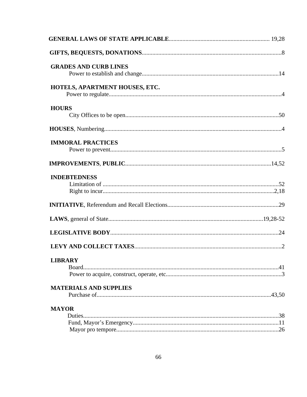| <b>GRADES AND CURB LINES</b>   |  |
|--------------------------------|--|
|                                |  |
| HOTELS, APARTMENT HOUSES, ETC. |  |
|                                |  |
| <b>HOURS</b>                   |  |
|                                |  |
|                                |  |
| <b>IMMORAL PRACTICES</b>       |  |
|                                |  |
|                                |  |
| <b>INDEBTEDNESS</b>            |  |
|                                |  |
|                                |  |
|                                |  |
|                                |  |
|                                |  |
|                                |  |
| <b>LIBRARY</b>                 |  |
|                                |  |
|                                |  |
| <b>MATERIALS AND SUPPLIES</b>  |  |
|                                |  |
| <b>MAYOR</b>                   |  |
|                                |  |
|                                |  |
|                                |  |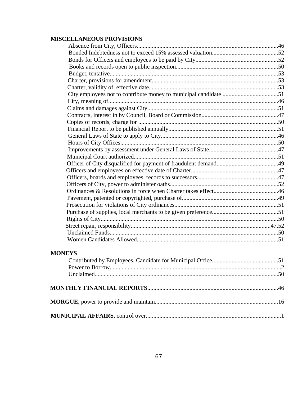# **MISCELLANEOUS PROVISIONS**

# **MONEYS**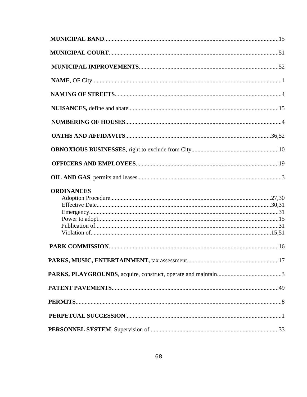| <b>ORDINANCES</b> |  |
|-------------------|--|
|                   |  |
|                   |  |
|                   |  |
|                   |  |
|                   |  |
|                   |  |
|                   |  |
|                   |  |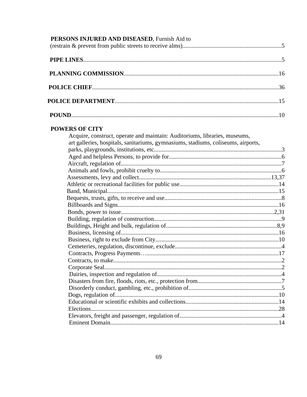| PERSONS INJURED AND DISEASED, Furnish Aid to |  |
|----------------------------------------------|--|
|                                              |  |
|                                              |  |
|                                              |  |
|                                              |  |
|                                              |  |

## **POWERS OF CITY**

| Acquire, construct, operate and maintain: Auditoriums, libraries, museums,        |  |
|-----------------------------------------------------------------------------------|--|
| art galleries, hospitals, sanitariums, gymnasiums, stadiums, coliseums, airports, |  |
|                                                                                   |  |
|                                                                                   |  |
|                                                                                   |  |
|                                                                                   |  |
|                                                                                   |  |
|                                                                                   |  |
| Band, Municipal.                                                                  |  |
|                                                                                   |  |
|                                                                                   |  |
|                                                                                   |  |
|                                                                                   |  |
|                                                                                   |  |
|                                                                                   |  |
|                                                                                   |  |
|                                                                                   |  |
|                                                                                   |  |
|                                                                                   |  |
|                                                                                   |  |
|                                                                                   |  |
|                                                                                   |  |
|                                                                                   |  |
|                                                                                   |  |
|                                                                                   |  |
|                                                                                   |  |
|                                                                                   |  |
|                                                                                   |  |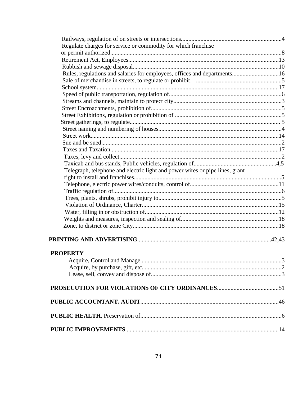| Regulate charges for service or commodity for which franchise                |  |
|------------------------------------------------------------------------------|--|
|                                                                              |  |
|                                                                              |  |
|                                                                              |  |
| Rules, regulations and salaries for employees, offices and departments16     |  |
|                                                                              |  |
|                                                                              |  |
|                                                                              |  |
|                                                                              |  |
|                                                                              |  |
|                                                                              |  |
|                                                                              |  |
|                                                                              |  |
|                                                                              |  |
|                                                                              |  |
|                                                                              |  |
|                                                                              |  |
|                                                                              |  |
| Telegraph, telephone and electric light and power wires or pipe lines, grant |  |
|                                                                              |  |
|                                                                              |  |
|                                                                              |  |
|                                                                              |  |
|                                                                              |  |
|                                                                              |  |
|                                                                              |  |
|                                                                              |  |
|                                                                              |  |
|                                                                              |  |
|                                                                              |  |
| <b>PROPERTY</b>                                                              |  |
|                                                                              |  |
|                                                                              |  |
|                                                                              |  |
|                                                                              |  |
|                                                                              |  |
|                                                                              |  |
|                                                                              |  |
|                                                                              |  |
|                                                                              |  |
|                                                                              |  |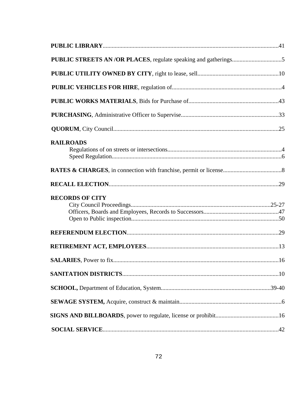| <b>RAILROADS</b>       |  |
|------------------------|--|
|                        |  |
|                        |  |
| <b>RECORDS OF CITY</b> |  |
|                        |  |
|                        |  |
|                        |  |
|                        |  |
|                        |  |
|                        |  |
|                        |  |
|                        |  |